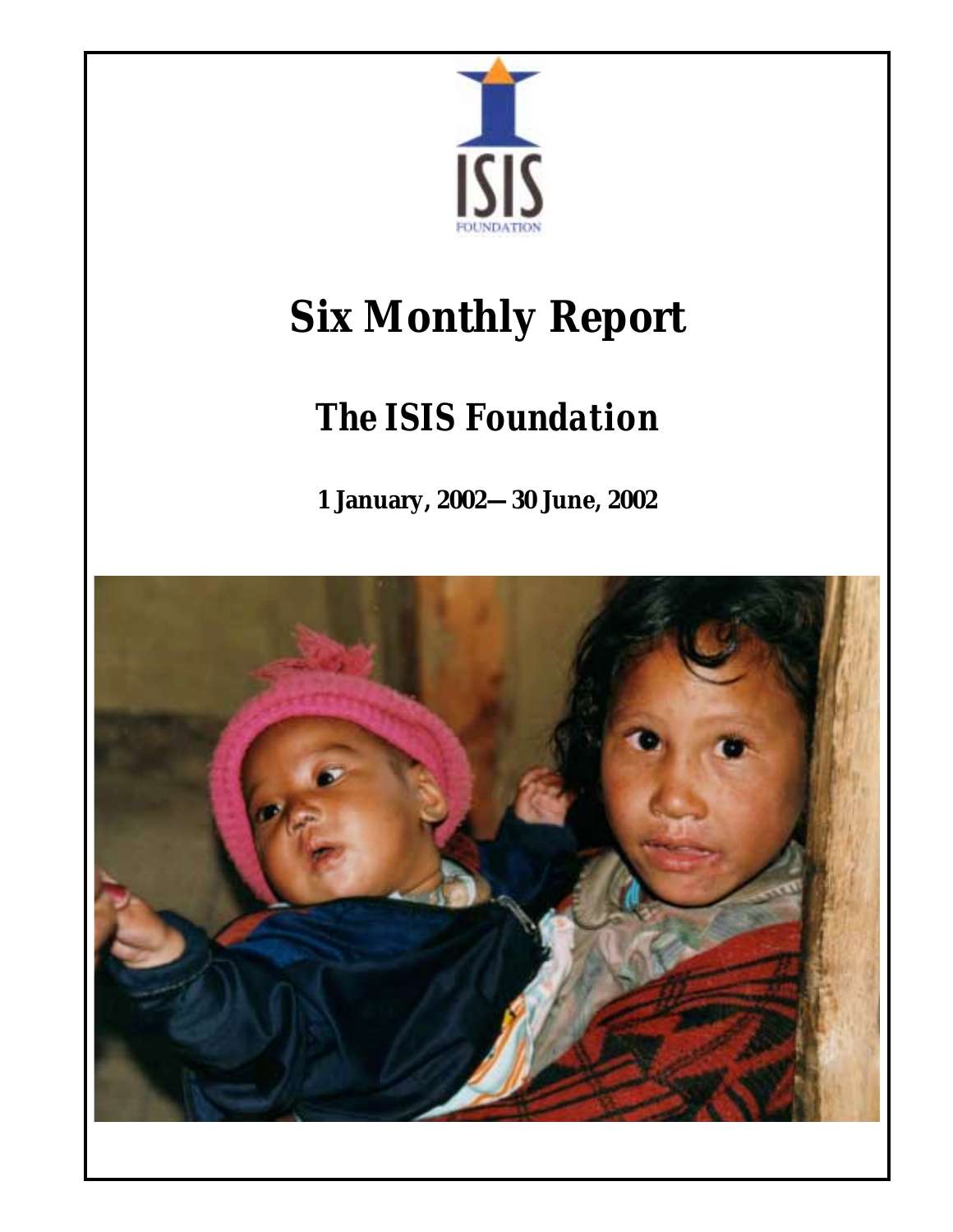

# **Six Monthly Report**

## *The ISIS Foundation*

**1 January, 2002—30 June, 2002** 

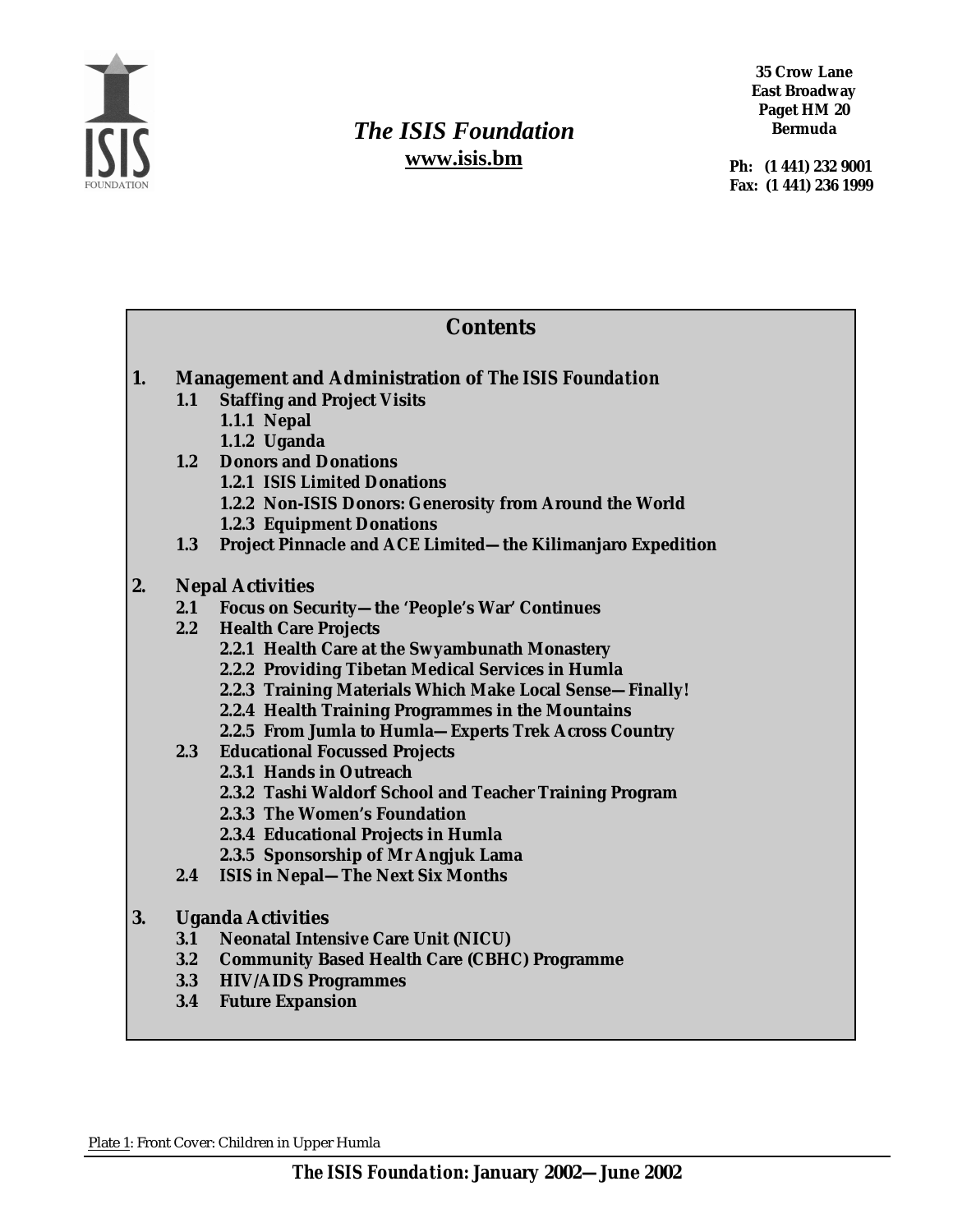

## *The ISIS Foundation*  **www.isis.bm**

**35 Crow Lane East Broadway Paget HM 20 Bermuda** 

 **Ph: (1 441) 232 9001 Fax: (1 441) 236 1999** 

| <b>Contents</b> |                                                             |                                                             |
|-----------------|-------------------------------------------------------------|-------------------------------------------------------------|
| 1.              | <b>Management and Administration of The ISIS Foundation</b> |                                                             |
|                 | 1.1                                                         | <b>Staffing and Project Visits</b>                          |
|                 |                                                             | <b>1.1.1 Nepal</b>                                          |
|                 |                                                             | 1.1.2 Uganda                                                |
|                 |                                                             | 1.2 Donors and Donations                                    |
|                 |                                                             | <b>1.2.1 ISIS Limited Donations</b>                         |
|                 |                                                             | 1.2.2 Non-ISIS Donors: Generosity from Around the World     |
|                 |                                                             | <b>1.2.3 Equipment Donations</b>                            |
|                 | 1.3                                                         | Project Pinnacle and ACE Limited-the Kilimanjaro Expedition |
| 2.              | <b>Nepal Activities</b>                                     |                                                             |
|                 |                                                             | 2.1 Focus on Security-the 'People's War' Continues          |
|                 |                                                             | 2.2 Health Care Projects                                    |
|                 |                                                             | 2.2.1 Health Care at the Swyambunath Monastery              |
|                 |                                                             | 2.2.2 Providing Tibetan Medical Services in Humla           |
|                 |                                                             | 2.2.3 Training Materials Which Make Local Sense-Finally!    |
|                 |                                                             | 2.2.4 Health Training Programmes in the Mountains           |
|                 |                                                             | 2.2.5 From Jumla to Humla-Experts Trek Across Country       |
|                 |                                                             | 2.3 Educational Focussed Projects                           |
|                 |                                                             | 2.3.1 Hands in Outreach                                     |
|                 |                                                             | 2.3.2 Tashi Waldorf School and Teacher Training Program     |
|                 |                                                             | 2.3.3 The Women's Foundation                                |
|                 |                                                             | 2.3.4 Educational Projects in Humla                         |
|                 |                                                             | 2.3.5 Sponsorship of Mr Angjuk Lama                         |
|                 | 2.4                                                         | <b>ISIS in Nepal-The Next Six Months</b>                    |
| 3.              | <b>Uganda Activities</b>                                    |                                                             |
|                 |                                                             | 3.1 Neonatal Intensive Care Unit (NICU)                     |
|                 |                                                             | 3.2 Community Based Health Care (CBHC) Programme            |
|                 |                                                             | 3.3 HIV/AIDS Programmes                                     |
|                 | 3.4                                                         | <b>Future Expansion</b>                                     |
|                 |                                                             |                                                             |

Plate 1: Front Cover: Children in Upper Humla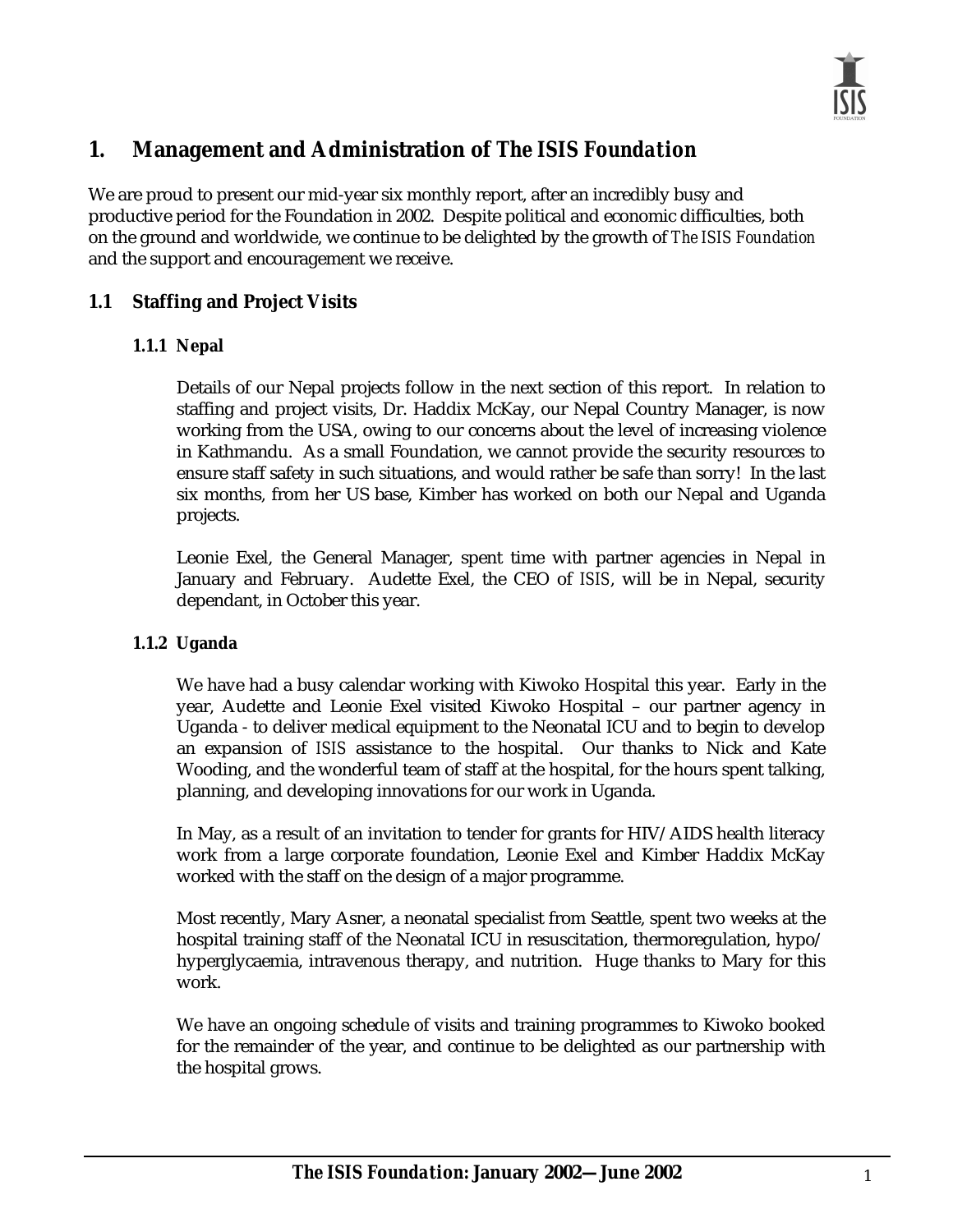

### **1. Management and Administration of** *The ISIS Foundation*

We are proud to present our mid-year six monthly report, after an incredibly busy and productive period for the Foundation in 2002. Despite political and economic difficulties, both on the ground and worldwide, we continue to be delighted by the growth of *The ISIS Foundation* and the support and encouragement we receive.

#### **1.1 Staffing and Project Visits**

#### **1.1.1 Nepal**

Details of our Nepal projects follow in the next section of this report. In relation to staffing and project visits, Dr. Haddix McKay, our Nepal Country Manager, is now working from the USA, owing to our concerns about the level of increasing violence in Kathmandu. As a small Foundation, we cannot provide the security resources to ensure staff safety in such situations, and would rather be safe than sorry! In the last six months, from her US base, Kimber has worked on both our Nepal and Uganda projects.

Leonie Exel, the General Manager, spent time with partner agencies in Nepal in January and February. Audette Exel, the CEO of *ISIS*, will be in Nepal, security dependant, in October this year.

#### **1.1.2 Uganda**

We have had a busy calendar working with Kiwoko Hospital this year. Early in the year, Audette and Leonie Exel visited Kiwoko Hospital – our partner agency in Uganda - to deliver medical equipment to the Neonatal ICU and to begin to develop an expansion of *ISIS* assistance to the hospital. Our thanks to Nick and Kate Wooding, and the wonderful team of staff at the hospital, for the hours spent talking, planning, and developing innovations for our work in Uganda.

In May, as a result of an invitation to tender for grants for HIV/AIDS health literacy work from a large corporate foundation, Leonie Exel and Kimber Haddix McKay worked with the staff on the design of a major programme.

Most recently, Mary Asner, a neonatal specialist from Seattle, spent two weeks at the hospital training staff of the Neonatal ICU in resuscitation, thermoregulation, hypo/ hyperglycaemia, intravenous therapy, and nutrition. Huge thanks to Mary for this work.

We have an ongoing schedule of visits and training programmes to Kiwoko booked for the remainder of the year, and continue to be delighted as our partnership with the hospital grows.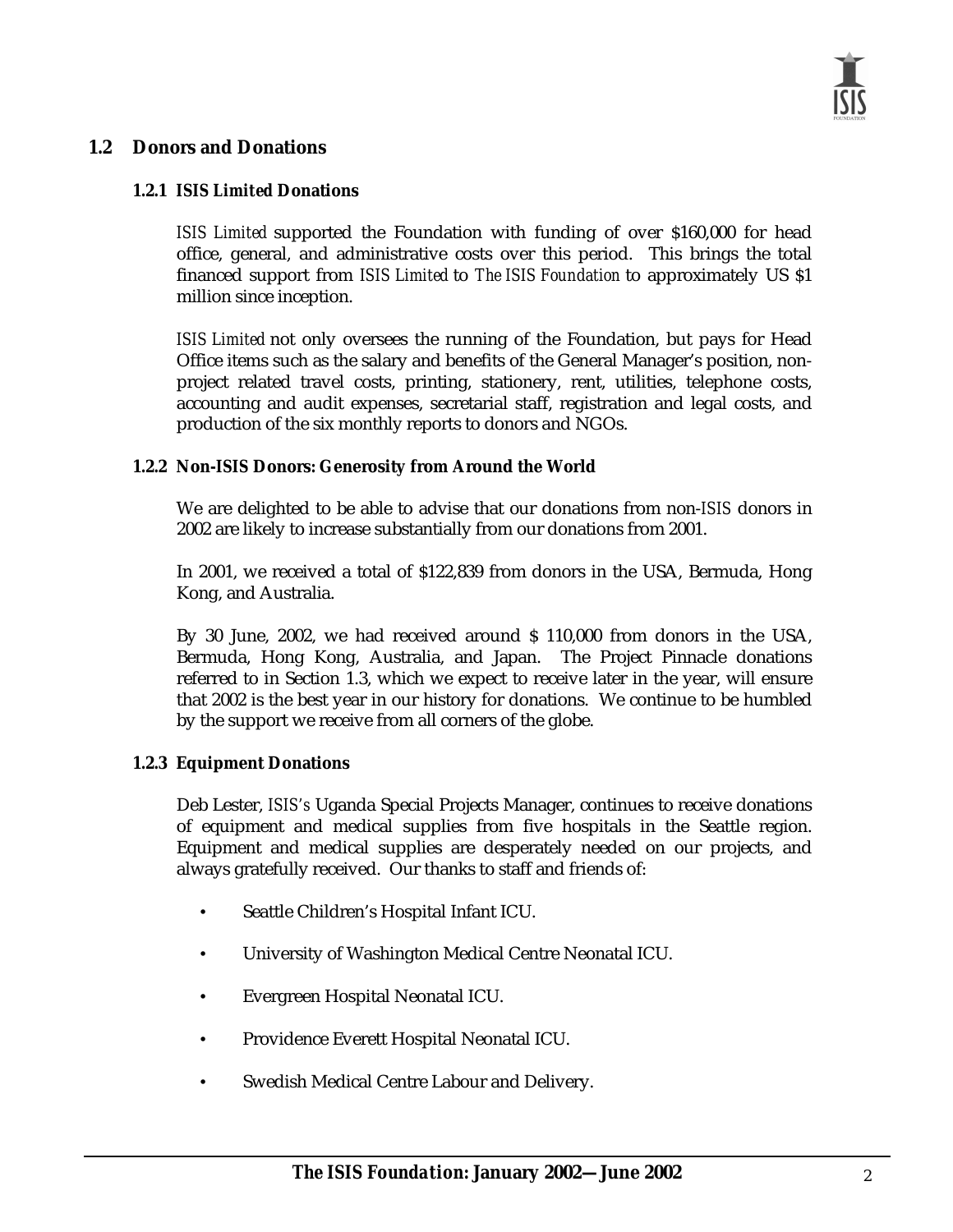#### **1.2 Donors and Donations**

#### **1.2.1** *ISIS Limited* **Donations**

*ISIS Limited* supported the Foundation with funding of over \$160,000 for head office, general, and administrative costs over this period. This brings the total financed support from *ISIS Limited* to *The ISIS Foundation* to approximately US \$1 million since inception.

*ISIS Limited* not only oversees the running of the Foundation, but pays for Head Office items such as the salary and benefits of the General Manager's position, nonproject related travel costs, printing, stationery, rent, utilities, telephone costs, accounting and audit expenses, secretarial staff, registration and legal costs, and production of the six monthly reports to donors and NGOs.

#### **1.2.2 Non-***ISIS* **Donors: Generosity from Around the World**

We are delighted to be able to advise that our donations from non-*ISIS* donors in 2002 are likely to increase substantially from our donations from 2001.

In 2001, we received a total of \$122,839 from donors in the USA, Bermuda, Hong Kong, and Australia.

By 30 June, 2002, we had received around \$ 110,000 from donors in the USA, Bermuda, Hong Kong, Australia, and Japan. The Project Pinnacle donations referred to in Section 1.3, which we expect to receive later in the year, will ensure that 2002 is the best year in our history for donations. We continue to be humbled by the support we receive from all corners of the globe.

#### **1.2.3 Equipment Donations**

Deb Lester, *ISIS's* Uganda Special Projects Manager, continues to receive donations of equipment and medical supplies from five hospitals in the Seattle region. Equipment and medical supplies are desperately needed on our projects, and always gratefully received. Our thanks to staff and friends of:

- Seattle Children's Hospital Infant ICU.
- University of Washington Medical Centre Neonatal ICU.
- Evergreen Hospital Neonatal ICU.
- Providence Everett Hospital Neonatal ICU.
- Swedish Medical Centre Labour and Delivery.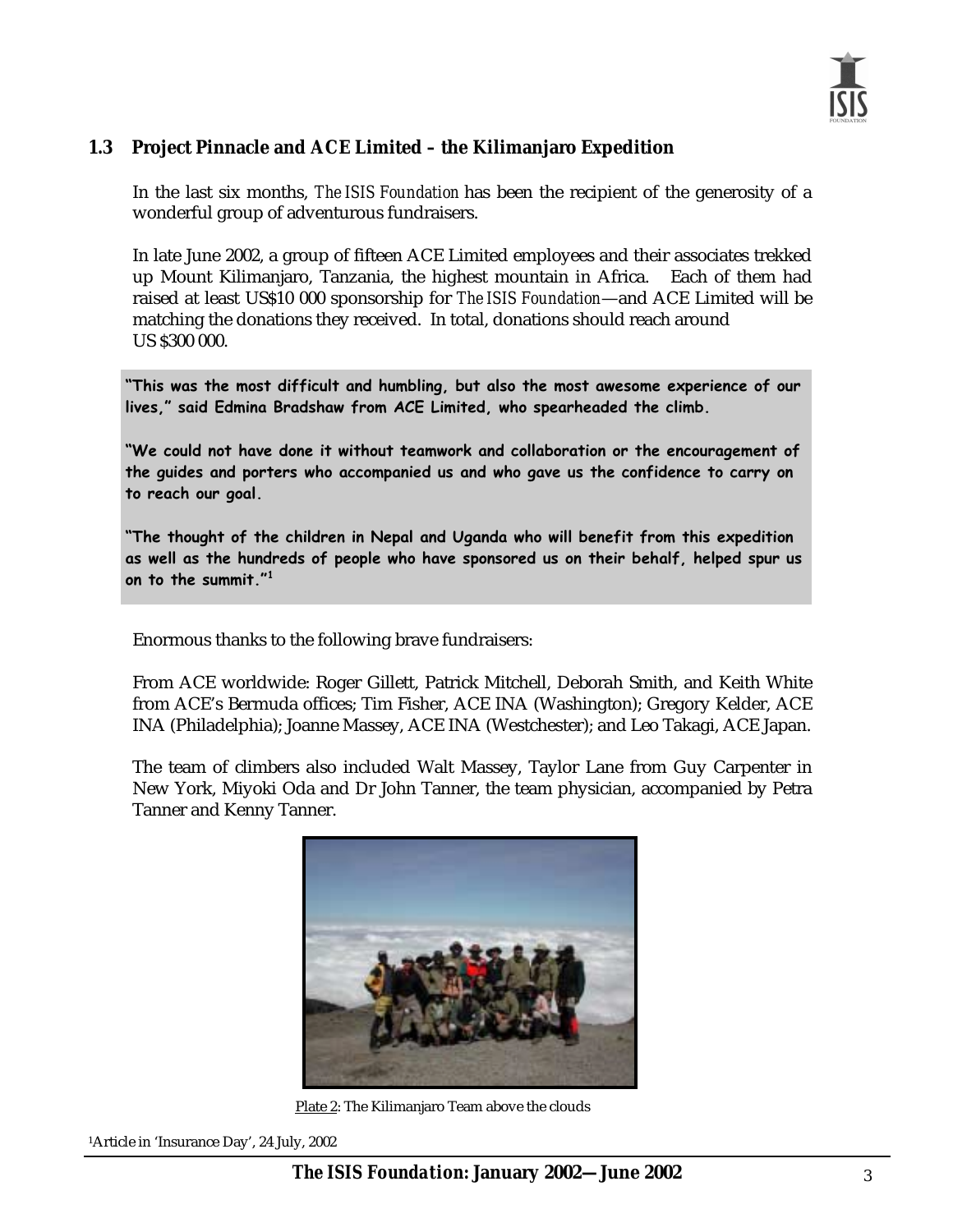#### **1.3 Project Pinnacle and ACE Limited – the Kilimanjaro Expedition**

In the last six months, *The ISIS Foundation* has been the recipient of the generosity of a wonderful group of adventurous fundraisers.

In late June 2002, a group of fifteen ACE Limited employees and their associates trekked up Mount Kilimanjaro, Tanzania, the highest mountain in Africa. Each of them had raised at least US\$10 000 sponsorship for *The ISIS Foundation*—and ACE Limited will be matching the donations they received. In total, donations should reach around US \$300 000.

"This was the most difficult and humbling, but also the most awesome experience of our lives," said Edmina Bradshaw from ACE Limited, who spearheaded the climb.

"We could not have done it without teamwork and collaboration or the encouragement of the guides and porters who accompanied us and who gave us the confidence to carry on to reach our goal.

"The thought of the children in Nepal and Uganda who will benefit from this expedition as well as the hundreds of people who have sponsored us on their behalf, helped spur us on to the summit."<sup>1</sup>

Enormous thanks to the following brave fundraisers:

From ACE worldwide: Roger Gillett, Patrick Mitchell, Deborah Smith, and Keith White from ACE's Bermuda offices; Tim Fisher, ACE INA (Washington); Gregory Kelder, ACE INA (Philadelphia); Joanne Massey, ACE INA (Westchester); and Leo Takagi, ACE Japan.

The team of climbers also included Walt Massey, Taylor Lane from Guy Carpenter in New York, Miyoki Oda and Dr John Tanner, the team physician, accompanied by Petra Tanner and Kenny Tanner.



Plate 2: The Kilimanjaro Team above the clouds

1Article in 'Insurance Day', 24 July, 2002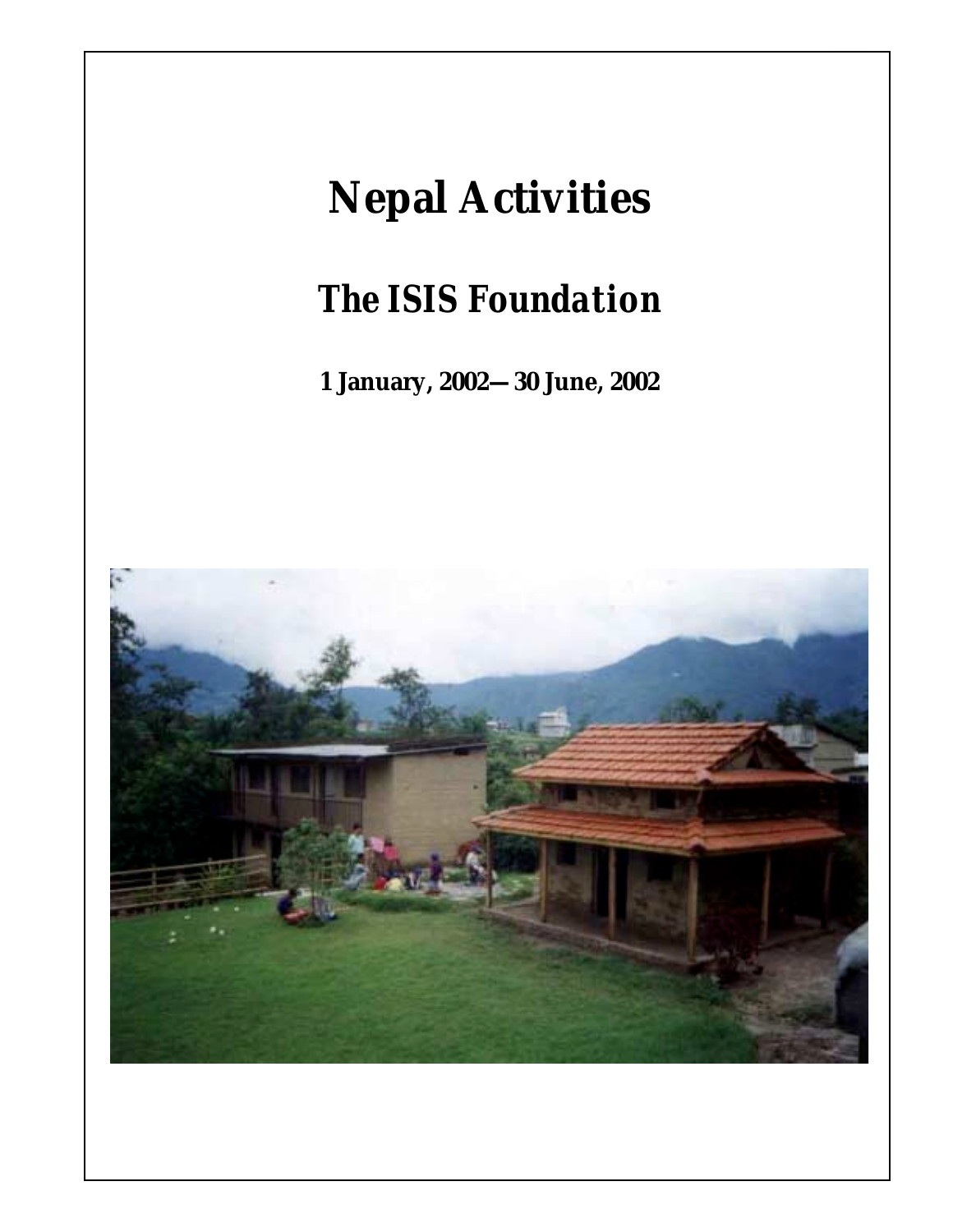## **Nepal Activities**

*The ISIS Foundation* 

**1 January, 2002—30 June, 2002** 



*The ISIS Foundation***: January 2002—June 2002**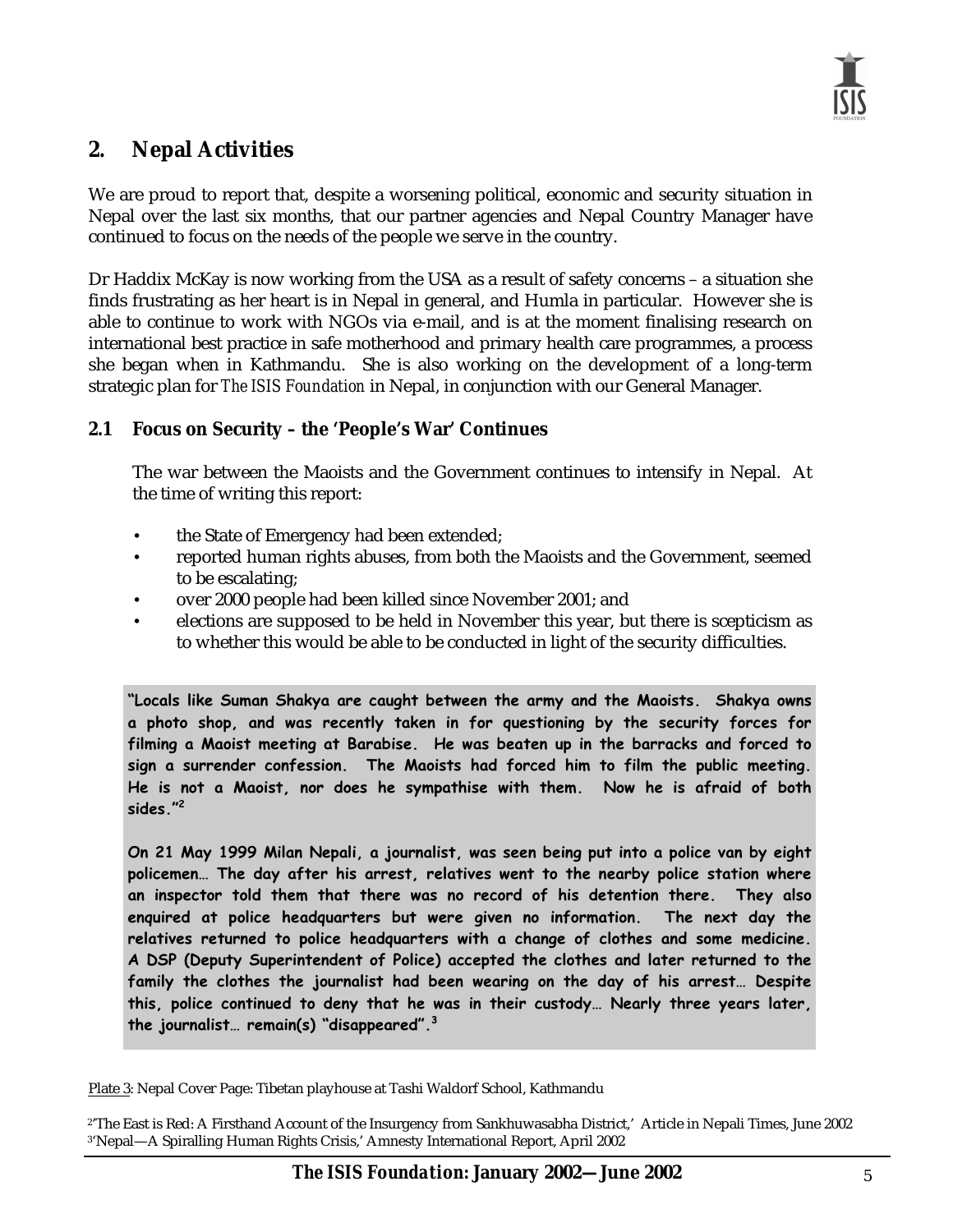### **2. Nepal Activities**

We are proud to report that, despite a worsening political, economic and security situation in Nepal over the last six months, that our partner agencies and Nepal Country Manager have continued to focus on the needs of the people we serve in the country.

Dr Haddix McKay is now working from the USA as a result of safety concerns – a situation she finds frustrating as her heart is in Nepal in general, and Humla in particular. However she is able to continue to work with NGOs via e-mail, and is at the moment finalising research on international best practice in safe motherhood and primary health care programmes, a process she began when in Kathmandu. She is also working on the development of a long-term strategic plan for *The ISIS Foundation* in Nepal, in conjunction with our General Manager.

#### **2.1 Focus on Security – the 'People's War' Continues**

The war between the Maoists and the Government continues to intensify in Nepal. At the time of writing this report:

- the State of Emergency had been extended;
- reported human rights abuses, from both the Maoists and the Government, seemed to be escalating;
- over 2000 people had been killed since November 2001; and
- elections are supposed to be held in November this year, but there is scepticism as to whether this would be able to be conducted in light of the security difficulties.

"Locals like Suman Shakya are caught between the army and the Maoists. Shakya owns a photo shop, and was recently taken in for questioning by the security forces for filming a Maoist meeting at Barabise. He was beaten up in the barracks and forced to sign a surrender confession. The Maoists had forced him to film the public meeting.  $\blacksquare$ He is not a Maoist, nor does he sympathise with them. Now he is afraid of both **the contact of the state in** *sides."***<sup>2</sup>** 

On 21 May 1999 Milan Nepali, a journalist, was seen being put into a police van by eight policemen... The day after his arrest, relatives went to the nearby police station where an inspector told them that there was no record of his detention there.  $\top$ hey also enquired at police headquarters but were given no information. T he next day the relatives returned to police headquarters with a change of clothes and some medicine. **A** DSP (Deputy Superintendent of Police) accepted the clothes and later returned to the family the clothes the journalist had been wearing on the day of his arrest… Despite this, police continued to deny that he was in their custody… Nearly three years later, the journalist… remain(s) "disappeared".<sup>3</sup>

Plate 3: Nepal Cover Page: Tibetan playhouse at Tashi Waldorf School, Kathmandu

<sup>2&#</sup>x27;The East is Red: A Firsthand Account of the Insurgency from Sankhuwasabha District,' Article in Nepali Times, June 2002 3'Nepal—A Spiralling Human Rights Crisis,' Amnesty International Report, April 2002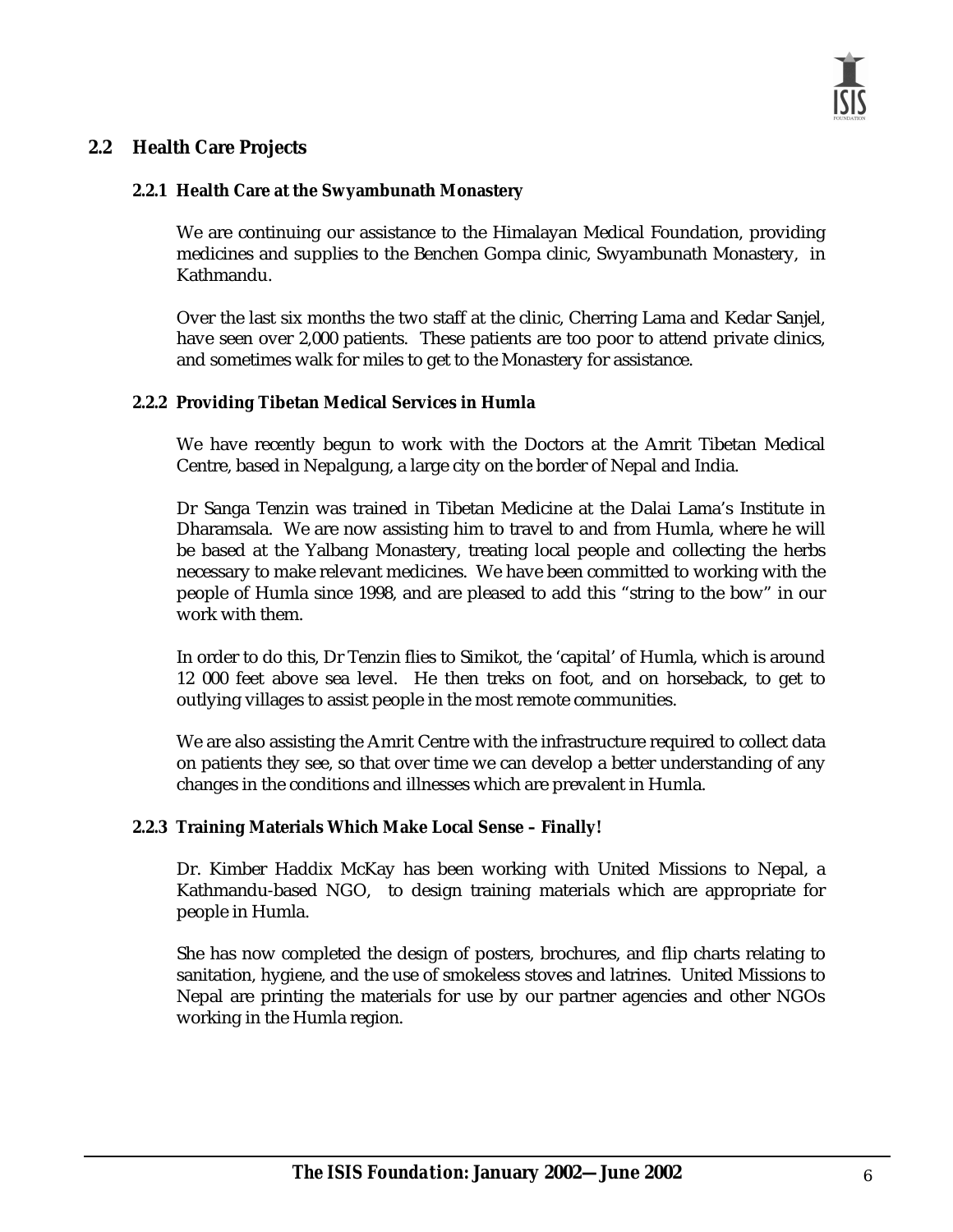#### **2.2 Health Care Projects**

#### **2.2.1 Health Care at the Swyambunath Monastery**

We are continuing our assistance to the Himalayan Medical Foundation, providing medicines and supplies to the Benchen Gompa clinic, Swyambunath Monastery, in Kathmandu.

Over the last six months the two staff at the clinic, Cherring Lama and Kedar Sanjel, have seen over 2,000 patients. These patients are too poor to attend private clinics, and sometimes walk for miles to get to the Monastery for assistance.

#### **2.2.2 Providing Tibetan Medical Services in Humla**

We have recently begun to work with the Doctors at the Amrit Tibetan Medical Centre, based in Nepalgung, a large city on the border of Nepal and India.

Dr Sanga Tenzin was trained in Tibetan Medicine at the Dalai Lama's Institute in Dharamsala. We are now assisting him to travel to and from Humla, where he will be based at the Yalbang Monastery, treating local people and collecting the herbs necessary to make relevant medicines. We have been committed to working with the people of Humla since 1998, and are pleased to add this "string to the bow" in our work with them.

In order to do this, Dr Tenzin flies to Simikot, the 'capital' of Humla, which is around 12 000 feet above sea level. He then treks on foot, and on horseback, to get to outlying villages to assist people in the most remote communities.

We are also assisting the Amrit Centre with the infrastructure required to collect data on patients they see, so that over time we can develop a better understanding of any changes in the conditions and illnesses which are prevalent in Humla.

#### **2.2.3 Training Materials Which Make Local Sense – Finally!**

Dr. Kimber Haddix McKay has been working with United Missions to Nepal, a Kathmandu-based NGO, to design training materials which are appropriate for people in Humla.

She has now completed the design of posters, brochures, and flip charts relating to sanitation, hygiene, and the use of smokeless stoves and latrines. United Missions to Nepal are printing the materials for use by our partner agencies and other NGOs working in the Humla region.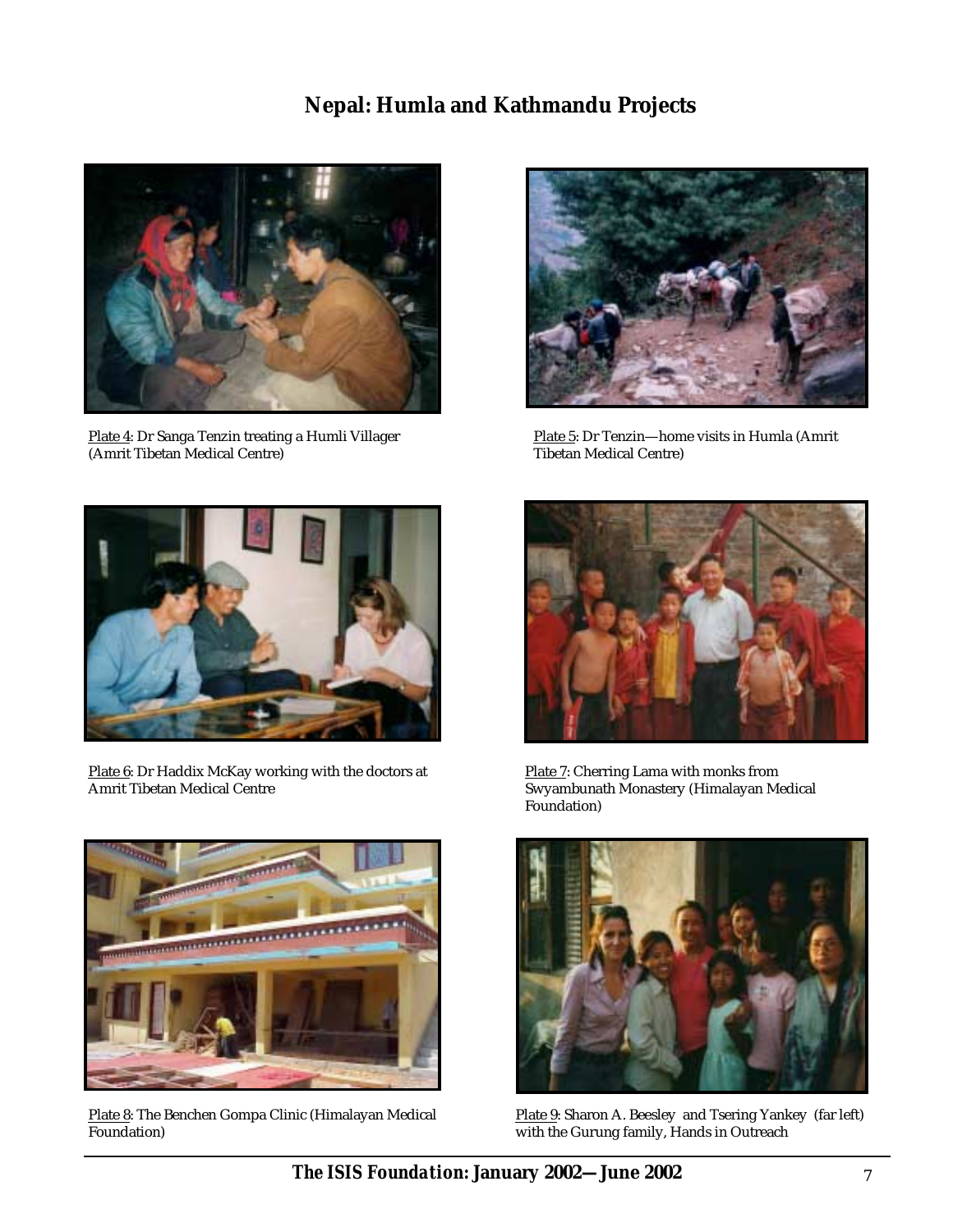## **Nepal: Humla and Kathmandu Projects**



Plate 4: Dr Sanga Tenzin treating a Humli Villager (Amrit Tibetan Medical Centre)



Plate 5: Dr Tenzin—home visits in Humla (Amrit Tibetan Medical Centre)



Plate 6: Dr Haddix McKay working with the doctors at Amrit Tibetan Medical Centre



Plate 7: Cherring Lama with monks from Swyambunath Monastery (Himalayan Medical Foundation)



Plate 8: The Benchen Gompa Clinic (Himalayan Medical Foundation)



Plate 9: Sharon A. Beesley and Tsering Yankey (far left) with the Gurung family, Hands in Outreach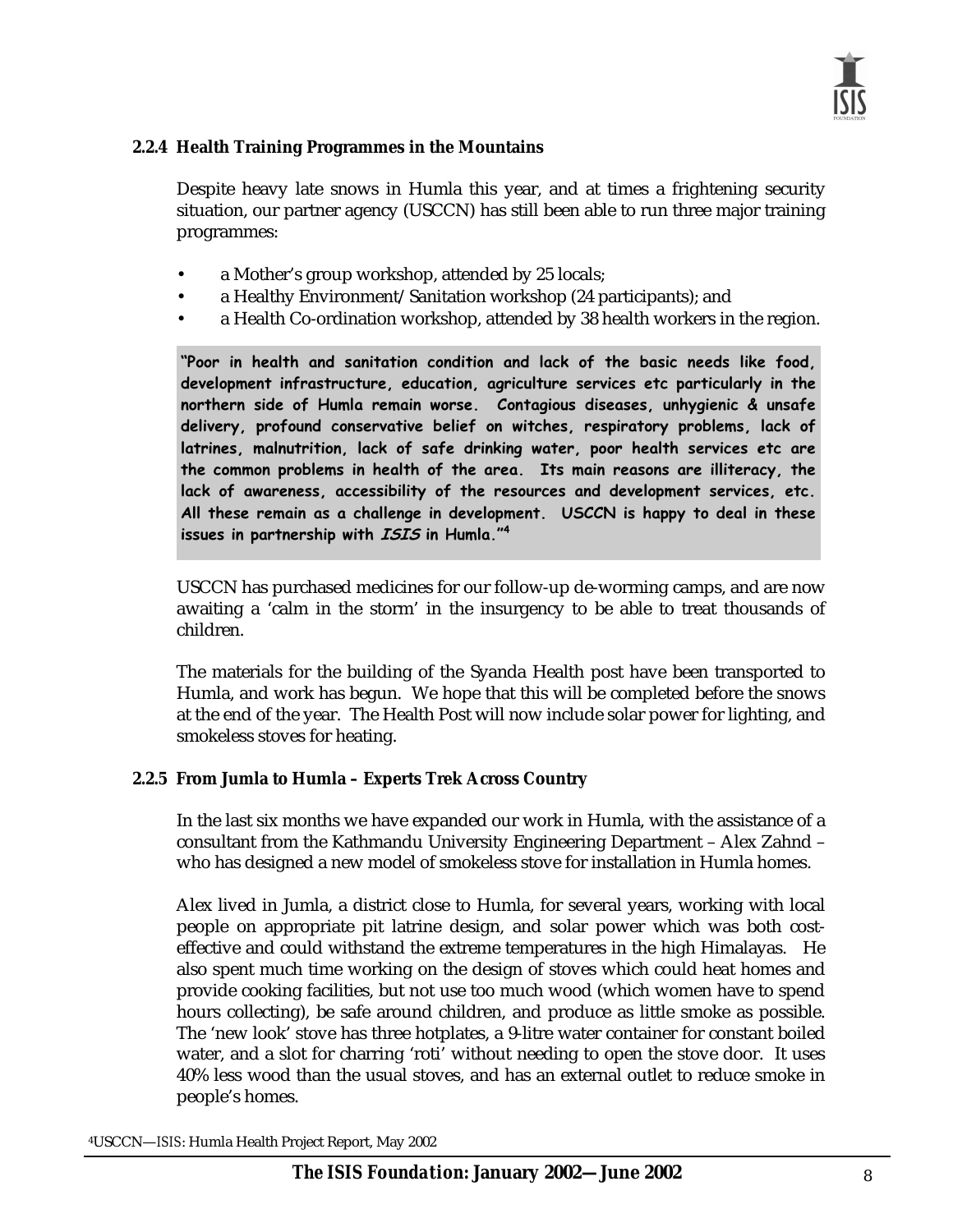

#### **2.2.4 Health Training Programmes in the Mountains**

Despite heavy late snows in Humla this year, and at times a frightening security situation, our partner agency (USCCN) has still been able to run three major training programmes:

- a Mother's group workshop, attended by 25 locals;
- a Healthy Environment/Sanitation workshop (24 participants); and
- a Health Co-ordination workshop, attended by 38 health workers in the region.

 $\ddot{\text{}}$  Poor in health and sanitation condition and lack of the basic needs like food, **development intrastructure, education, agriculture services etc particularly in the n**orthern side of Humla remain worse. Contagious diseases, unhygienic & unsafe delivery, profound conservative belief on witches, respiratory problems, lack of latrines, malnutrition, lack of safe drinking water, poor health services etc are the common problems in health of the area. Its main reasons are illiteracy, the lack of awareness, accessibility of the resources and development services, etc. All these remain as a challenge in development. USCCN is happy to deal in these issues in partnership with *ISIS* in Humla."<sup>4</sup>

USCCN has purchased medicines for our follow-up de-worming camps, and are now awaiting a 'calm in the storm' in the insurgency to be able to treat thousands of children.

The materials for the building of the Syanda Health post have been transported to Humla, and work has begun. We hope that this will be completed before the snows at the end of the year. The Health Post will now include solar power for lighting, and smokeless stoves for heating.

#### **2.2.5 From Jumla to Humla – Experts Trek Across Country**

In the last six months we have expanded our work in Humla, with the assistance of a consultant from the Kathmandu University Engineering Department – Alex Zahnd – who has designed a new model of smokeless stove for installation in Humla homes.

Alex lived in Jumla, a district close to Humla, for several years, working with local people on appropriate pit latrine design, and solar power which was both costeffective and could withstand the extreme temperatures in the high Himalayas. He also spent much time working on the design of stoves which could heat homes and provide cooking facilities, but not use too much wood (which women have to spend hours collecting), be safe around children, and produce as little smoke as possible. The 'new look' stove has three hotplates, a 9-litre water container for constant boiled water, and a slot for charring 'roti' without needing to open the stove door. It uses 40% less wood than the usual stoves, and has an external outlet to reduce smoke in people's homes.

4USCCN—*ISIS*: Humla Health Project Report, May 2002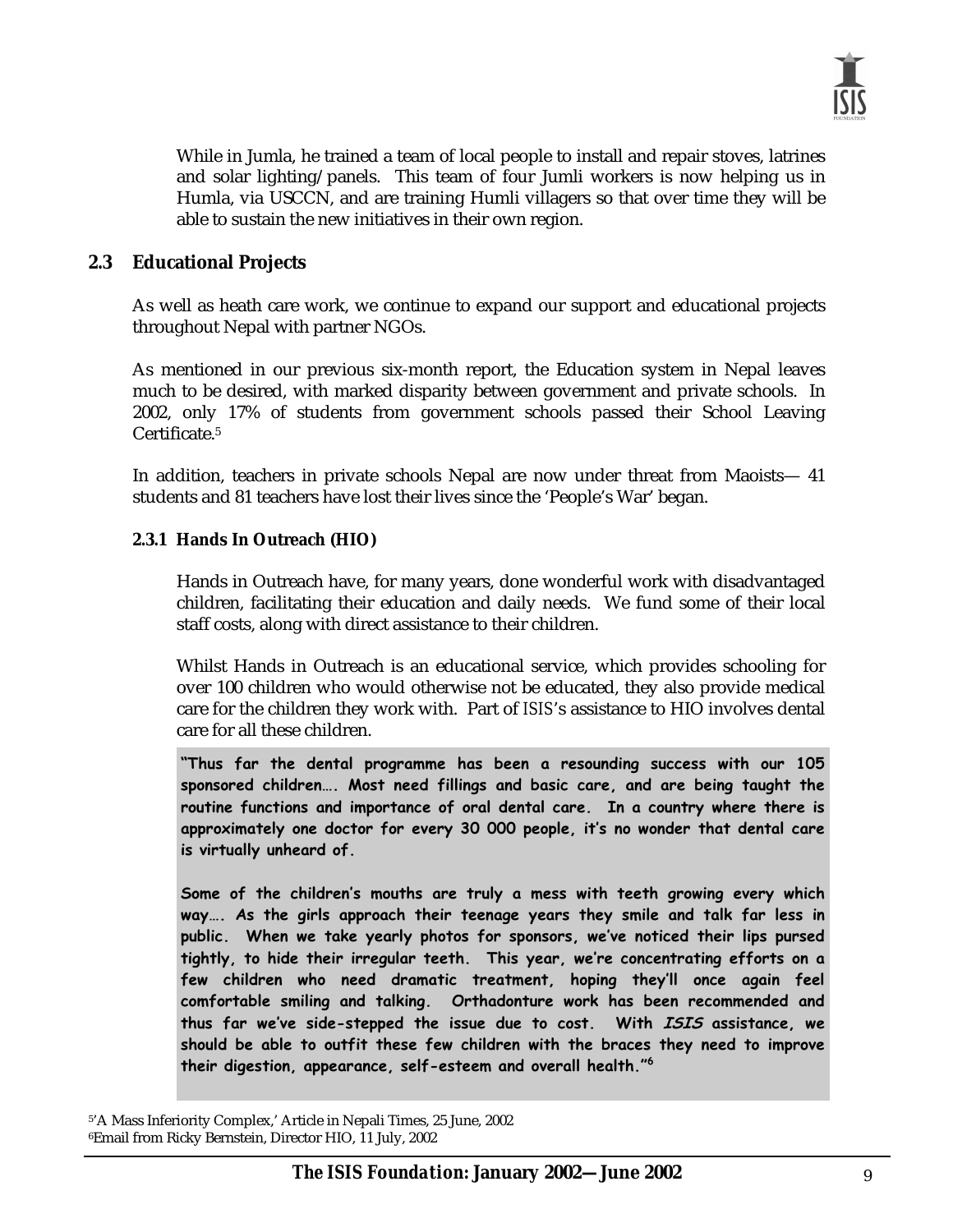

While in Jumla, he trained a team of local people to install and repair stoves, latrines and solar lighting/panels. This team of four Jumli workers is now helping us in Humla, via USCCN, and are training Humli villagers so that over time they will be able to sustain the new initiatives in their own region.

#### **2.3 Educational Projects**

As well as heath care work, we continue to expand our support and educational projects throughout Nepal with partner NGOs.

As mentioned in our previous six-month report, the Education system in Nepal leaves much to be desired, with marked disparity between government and private schools. In 2002, only 17% of students from government schools passed their School Leaving Certificate.5

In addition, teachers in private schools Nepal are now under threat from Maoists— 41 students and 81 teachers have lost their lives since the 'People's War' began.

#### **2.3.1 Hands In Outreach (HIO)**

Hands in Outreach have, for many years, done wonderful work with disadvantaged children, facilitating their education and daily needs. We fund some of their local staff costs, along with direct assistance to their children.

Whilst Hands in Outreach is an educational service, which provides schooling for over 100 children who would otherwise not be educated, they also provide medical care for the children they work with. Part of *ISIS*'s assistance to HIO involves dental care for all these children.

 $\mathbf{r}$  Thus far the dental programme has been a resounding success with our  $105$ sponsored children…. Most need fillings and basic care, and are being taught the routine functions and importance of oral dental care. In a country where there is approximately one doctor for every 30 000 people, it's no wonder that dental care is virtually unheard of.  $\overline{\phantom{a}}$ 

Some of the children's mouths are truly a mess with teeth growing every which way…. As the girls approach their teenage years they smile and talk far less in public. When we take yearly photos for sponsors, we've noticed their lips pursed **i** tightly, to hide their irregular teeth. This year, we're concentrating efforts on a few children who need dramatic treatment, hoping they'll once again feel comfortable smiling and talking. Orthadonture work has been recommended and thus far we've side-stepped the issue due to cost. With *ISIS* assistance, we should be able to outfit these few children with the braces they need to improve their digestion, appearance, self-esteem and overall health." $^6$ 

<sup>5&#</sup>x27;A Mass Inferiority Complex,' Article in Nepali Times, 25 June, 2002 6Email from Ricky Bernstein, Director HIO, 11 July, 2002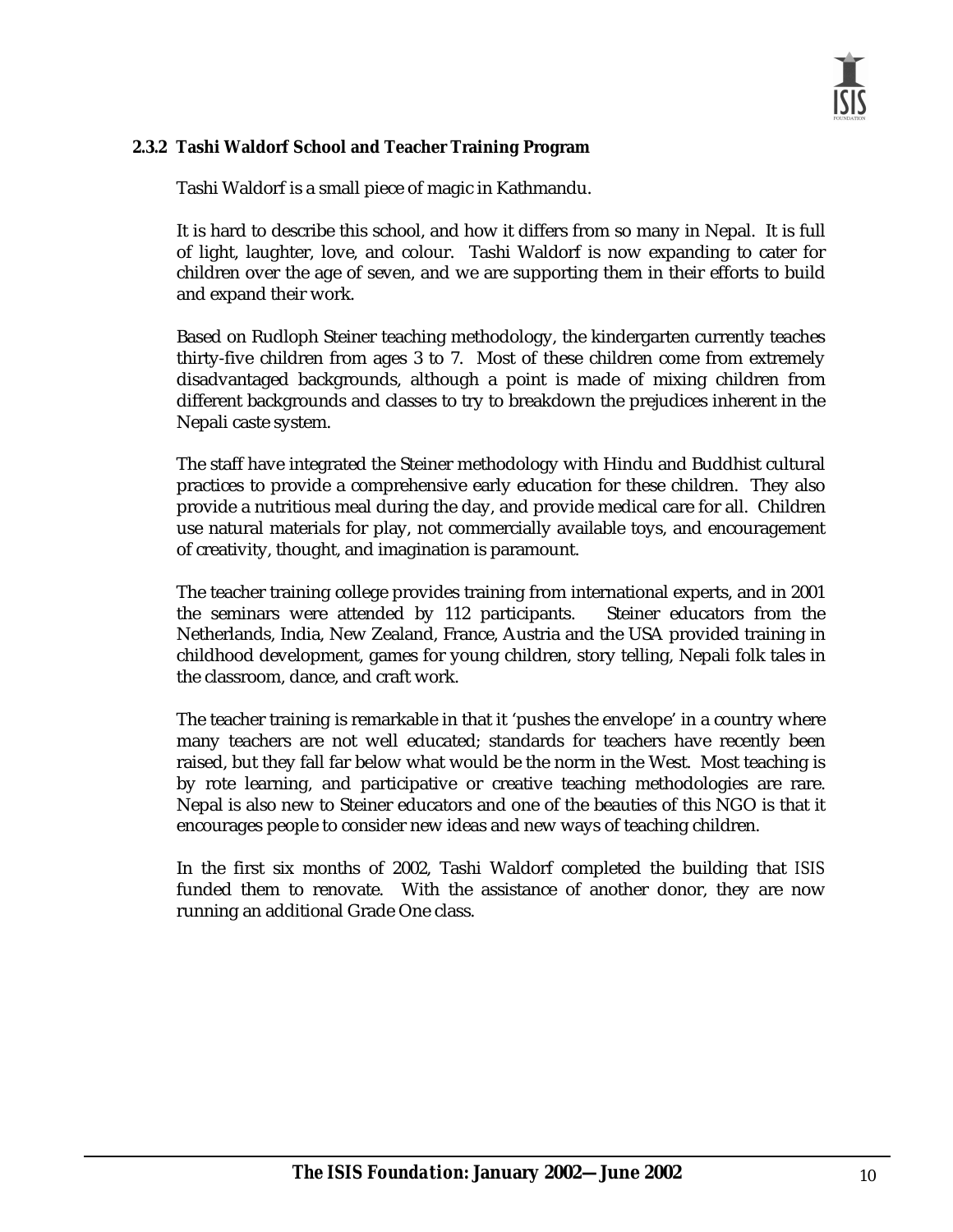#### **2.3.2 Tashi Waldorf School and Teacher Training Program**

Tashi Waldorf is a small piece of magic in Kathmandu.

It is hard to describe this school, and how it differs from so many in Nepal. It is full of light, laughter, love, and colour. Tashi Waldorf is now expanding to cater for children over the age of seven, and we are supporting them in their efforts to build and expand their work.

Based on Rudloph Steiner teaching methodology, the kindergarten currently teaches thirty-five children from ages 3 to 7. Most of these children come from extremely disadvantaged backgrounds, although a point is made of mixing children from different backgrounds and classes to try to breakdown the prejudices inherent in the Nepali caste system.

The staff have integrated the Steiner methodology with Hindu and Buddhist cultural practices to provide a comprehensive early education for these children. They also provide a nutritious meal during the day, and provide medical care for all. Children use natural materials for play, not commercially available toys, and encouragement of creativity, thought, and imagination is paramount.

The teacher training college provides training from international experts, and in 2001 the seminars were attended by 112 participants. Steiner educators from the Netherlands, India, New Zealand, France, Austria and the USA provided training in childhood development, games for young children, story telling, Nepali folk tales in the classroom, dance, and craft work.

The teacher training is remarkable in that it 'pushes the envelope' in a country where many teachers are not well educated; standards for teachers have recently been raised, but they fall far below what would be the norm in the West. Most teaching is by rote learning, and participative or creative teaching methodologies are rare. Nepal is also new to Steiner educators and one of the beauties of this NGO is that it encourages people to consider new ideas and new ways of teaching children.

In the first six months of 2002, Tashi Waldorf completed the building that *ISIS* funded them to renovate. With the assistance of another donor, they are now running an additional Grade One class.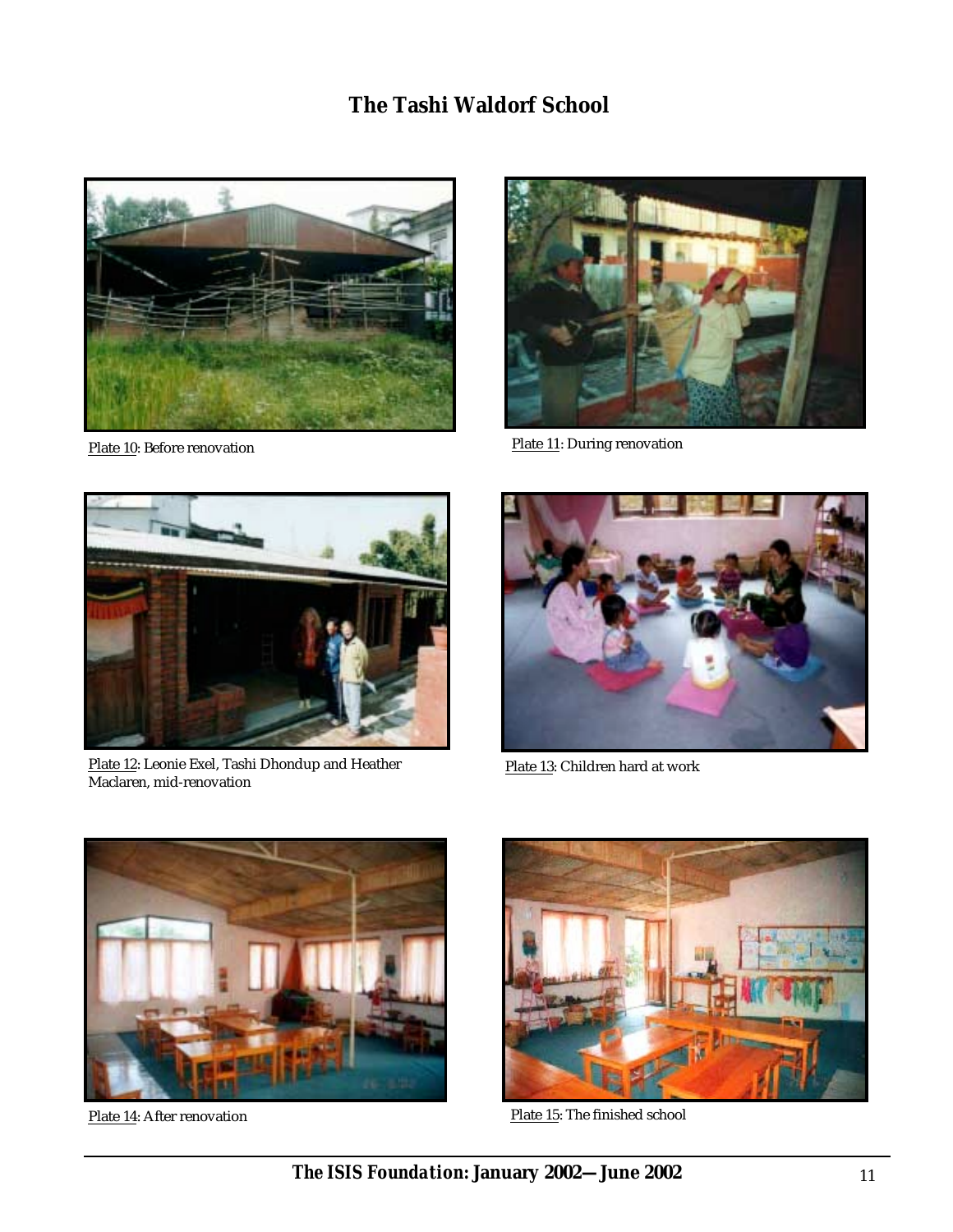### **The Tashi Waldorf School**





Plate 10: Before renovation Plate 11: During renovation



Plate 12: Leonie Exel, Tashi Dhondup and Heather Maclaren, mid-renovation



Plate 13: Children hard at work



Plate 14: After renovation



Plate 15: The finished school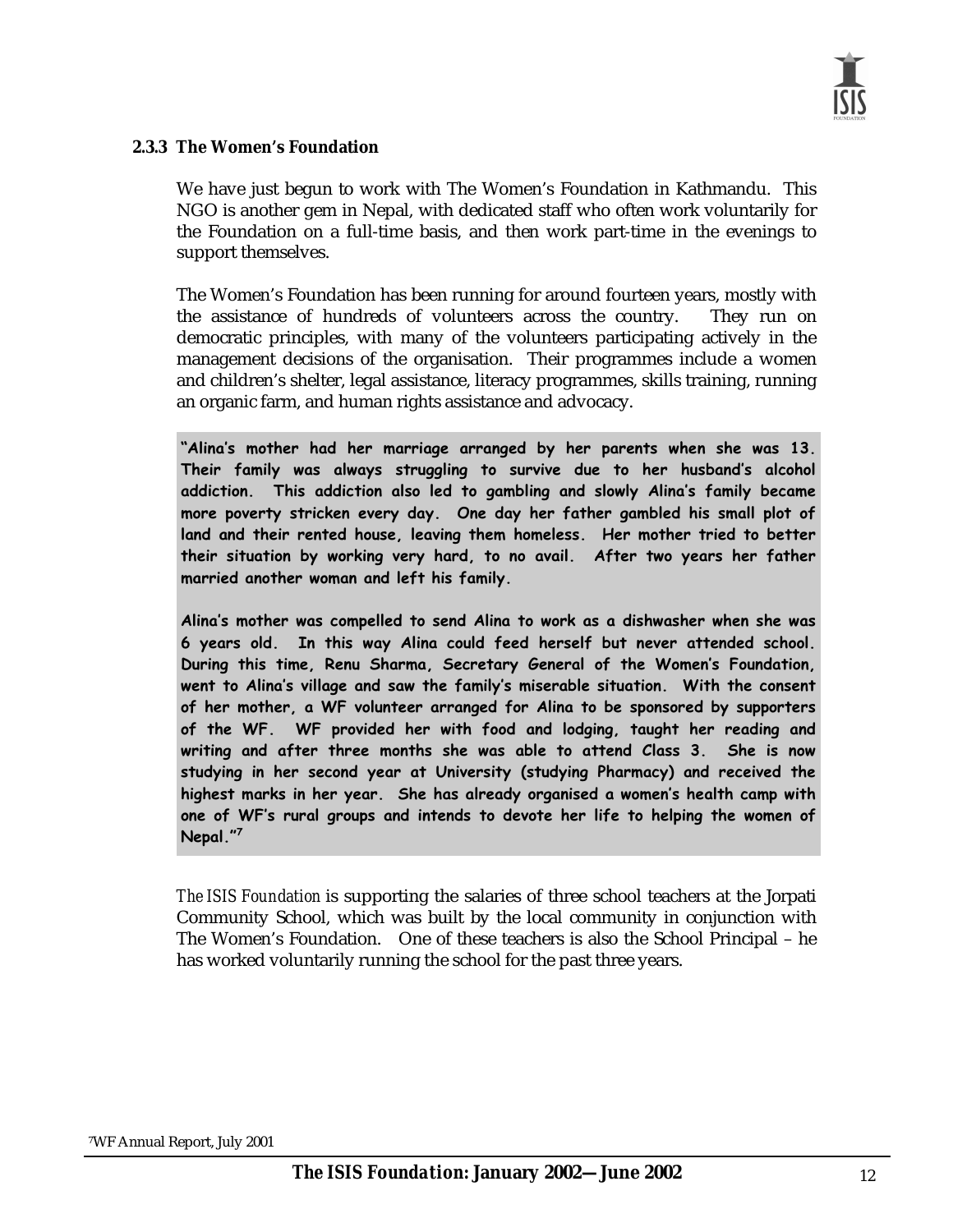#### **2.3.3 The Women's Foundation**

We have just begun to work with The Women's Foundation in Kathmandu. This NGO is another gem in Nepal, with dedicated staff who often work voluntarily for the Foundation on a full-time basis, and then work part-time in the evenings to support themselves.

The Women's Foundation has been running for around fourteen years, mostly with the assistance of hundreds of volunteers across the country. They run on democratic principles, with many of the volunteers participating actively in the management decisions of the organisation. Their programmes include a women and children's shelter, legal assistance, literacy programmes, skills training, running an organic farm, and human rights assistance and advocacy.

 $\tilde{a}$  mother had her marriage arranged by her parents when she was 13. Their family was always struggling to survive due to her husband's alcohol addiction. his addiction also led to gambling and slowly Alina's family became  **m**ore poverty stricken every day. One day her father gambled his small plot of land and their rented house, leaving them homeless. Her mother tried to better their situation by working very hard, to no avail. After two years her father **married another woman and left his family.**  $\blacksquare$ 

Alina's mother was compelled to send Alina to work as a dishwasher when she was 6 years old. In this way Alina could feed herself but never attended school. During this time, Renu Sharma, Secretary General of the Women's Foundation, **went to Alina's village and saw the family's miserable situation. With the consent** of her mother, a WF volunteer arranged for Alina to be sponsored by supporters of the WF. WF provided her with food and lodging, taught her reading and writing and after three months she was able to attend Class 3. She is now studying in her second year at University (studying Pharmacy) and received the highest marks in her year. She has already organised a women's health camp with one of WF's rural groups and intends to devote her life to helping the women of **\$ @**

*The ISIS Foundation* is supporting the salaries of three school teachers at the Jorpati Community School, which was built by the local community in conjunction with The Women's Foundation. One of these teachers is also the School Principal – he has worked voluntarily running the school for the past three years.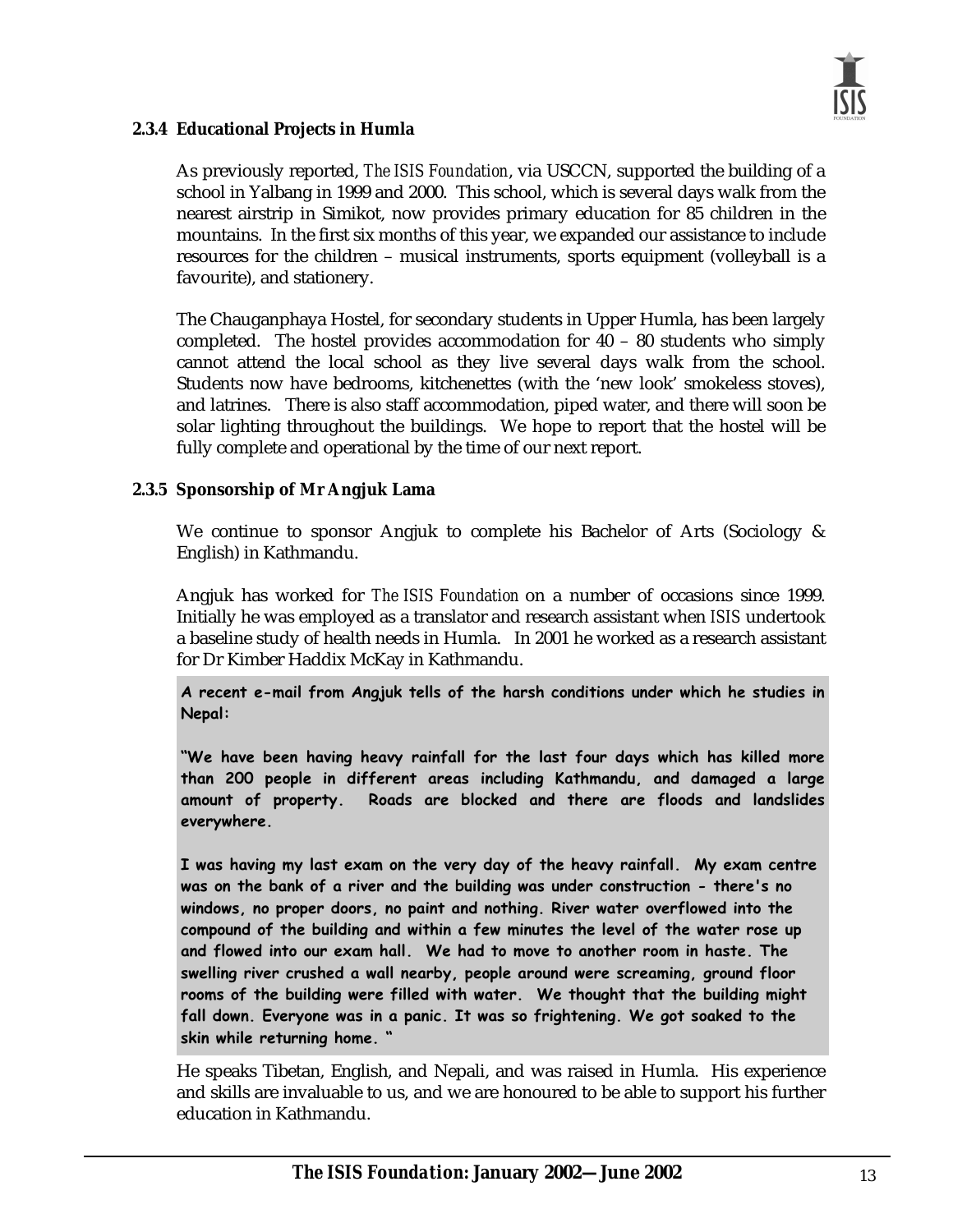

#### **2.3.4 Educational Projects in Humla**

As previously reported, *The ISIS Foundation*, via USCCN, supported the building of a school in Yalbang in 1999 and 2000. This school, which is several days walk from the nearest airstrip in Simikot, now provides primary education for 85 children in the mountains. In the first six months of this year, we expanded our assistance to include resources for the children – musical instruments, sports equipment (volleyball is a favourite), and stationery.

The Chauganphaya Hostel, for secondary students in Upper Humla, has been largely completed. The hostel provides accommodation for 40 – 80 students who simply cannot attend the local school as they live several days walk from the school. Students now have bedrooms, kitchenettes (with the 'new look' smokeless stoves), and latrines. There is also staff accommodation, piped water, and there will soon be solar lighting throughout the buildings. We hope to report that the hostel will be fully complete and operational by the time of our next report.

#### **2.3.5 Sponsorship of Mr Angjuk Lama**

We continue to sponsor Angjuk to complete his Bachelor of Arts (Sociology & English) in Kathmandu.

Angjuk has worked for *The ISIS Foundation* on a number of occasions since 1999. Initially he was employed as a translator and research assistant when *ISIS* undertook a baseline study of health needs in Humla. In 2001 he worked as a research assistant for Dr Kimber Haddix McKay in Kathmandu.

**A** recent e-mail from Angjuk tells of the harsh conditions under which he studies in Nepal:

"We have been having heavy rainfall for the last four days which has killed more than 200 people in different areas including Kathmandu, and damaged a large amount of property. Roads are blocked and there are floods and landslides everywhere.

I was having my last exam on the very day of the heavy rainfall. My exam centre **w**as on the bank of a river and the building was under construction - there's no windows, no proper doors, no paint and nothing. River water overflowed into the compound of the building and within a few minutes the level of the water rose up and flowed into our exam hall. We had to move to another room in haste. The swelling river crushed a wall nearby, people around were screaming, ground floor rooms of the building were filled with water. We thought that the building might fall down. Everyone was in a panic. It was so frightening. We got soaked to the **"** 

He speaks Tibetan, English, and Nepali, and was raised in Humla. His experience and skills are invaluable to us, and we are honoured to be able to support his further education in Kathmandu.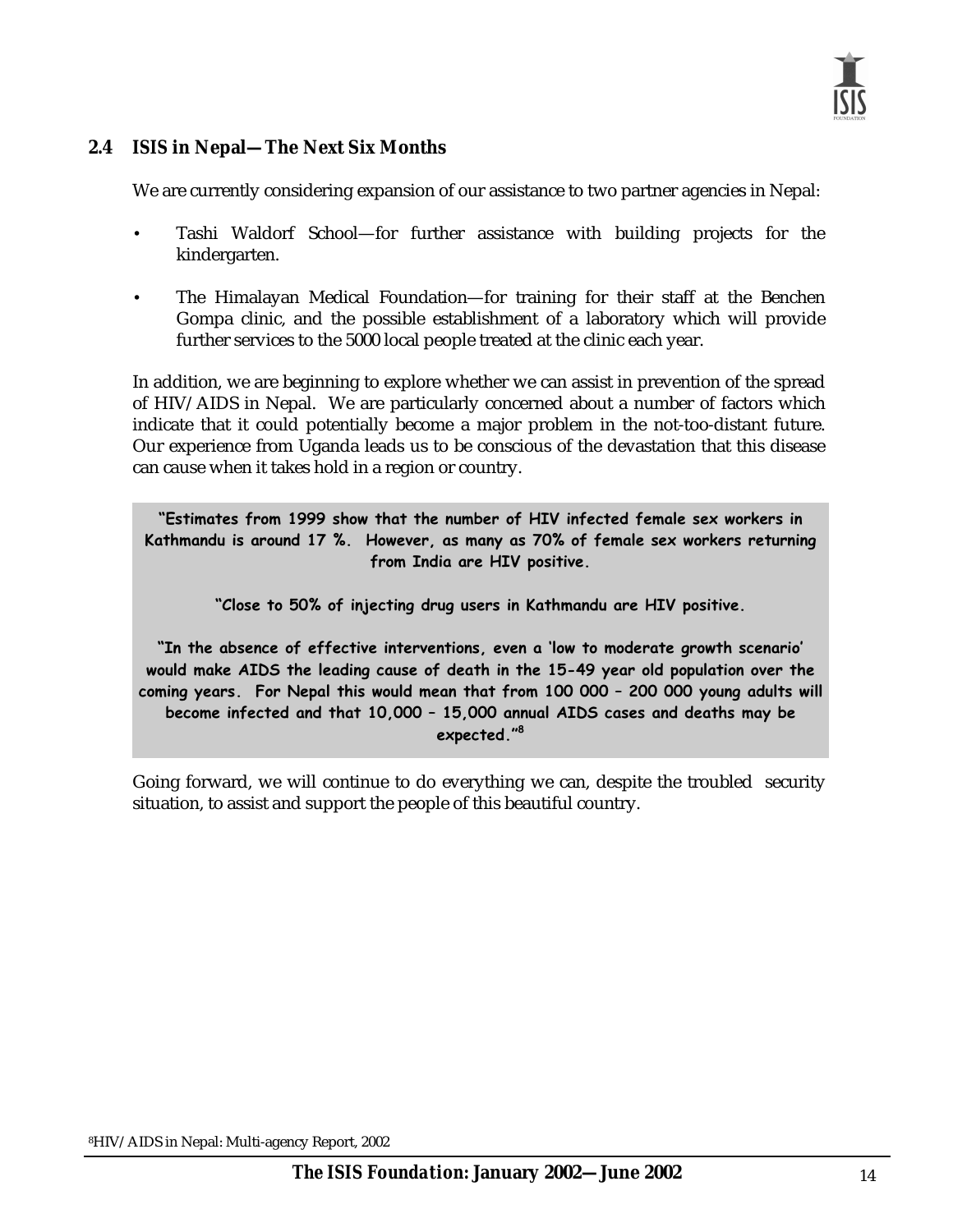#### **2.4** *ISIS* **in Nepal—The Next Six Months**

We are currently considering expansion of our assistance to two partner agencies in Nepal:

- Tashi Waldorf School—for further assistance with building projects for the kindergarten.
- The Himalayan Medical Foundation—for training for their staff at the Benchen Gompa clinic, and the possible establishment of a laboratory which will provide further services to the 5000 local people treated at the clinic each year.

In addition, we are beginning to explore whether we can assist in prevention of the spread of HIV/AIDS in Nepal. We are particularly concerned about a number of factors which indicate that it could potentially become a major problem in the not-too-distant future. Our experience from Uganda leads us to be conscious of the devastation that this disease can cause when it takes hold in a region or country.

"Estimates from 1999 show that the number of HIV infected female sex workers in Kathmandu is around 17 %. However, as many as 70% of female sex workers returning from India are HIV positive.

"Close to 50% of injecting drug users in Kathmandu are HIV positive.

"In the absence of effective interventions, even a 'low to moderate growth scenario' would make AIDS the leading cause of death in the 15-49 year old population over the coming years. For Nepal this would mean that from 100 000 – 200 000 young adults will become infected and that 10,000 – 15,000 annual AIDS cases and deaths may be expected."<sup>8</sup>

Going forward, we will continue to do everything we can, despite the troubled security situation, to assist and support the people of this beautiful country.

8HIV/AIDS in Nepal: Multi-agency Report, 2002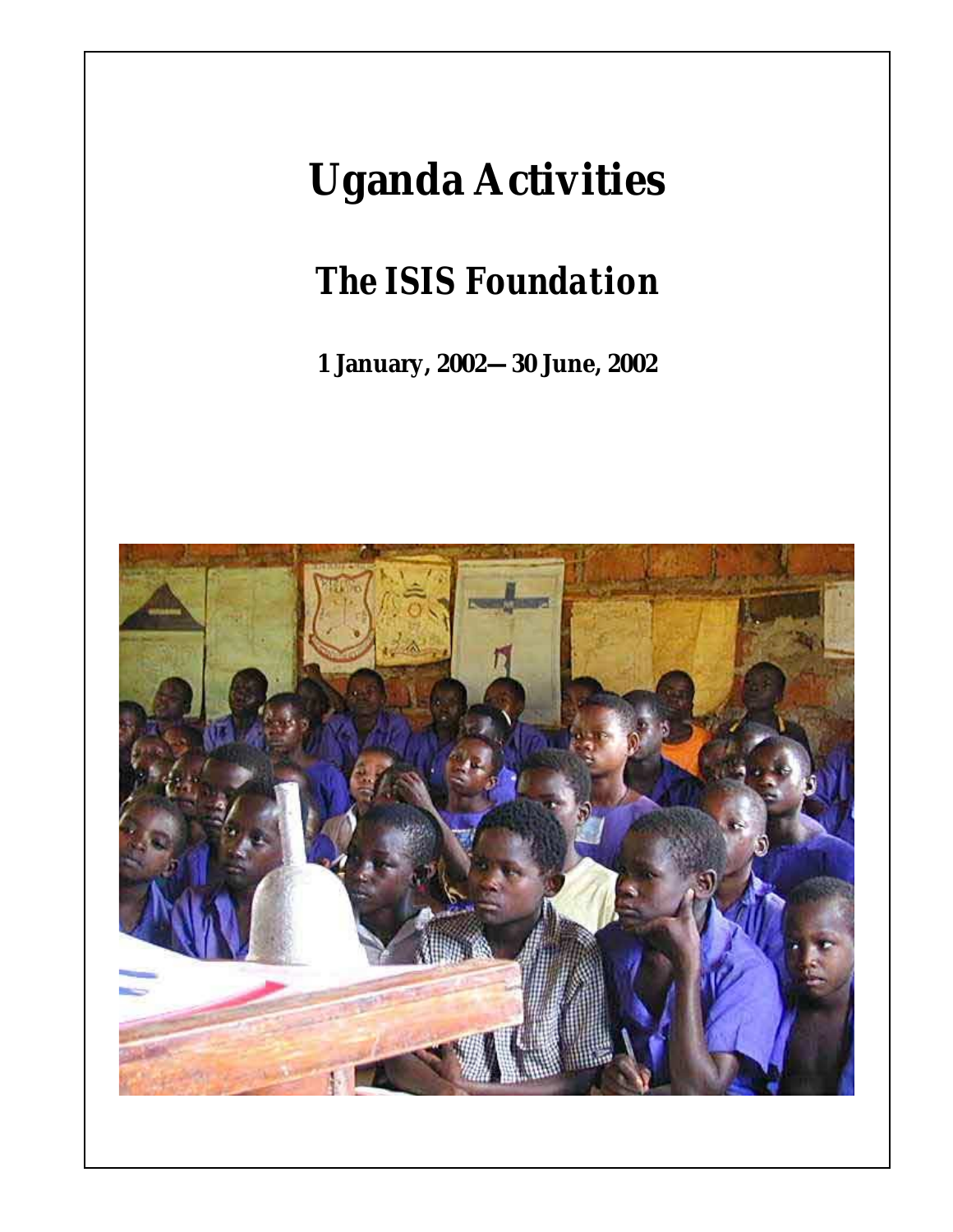## **Uganda Activities**

## *The ISIS Foundation*

**1 January, 2002—30 June, 2002** 



*The ISIS Foundation***: January 2002—June 2002**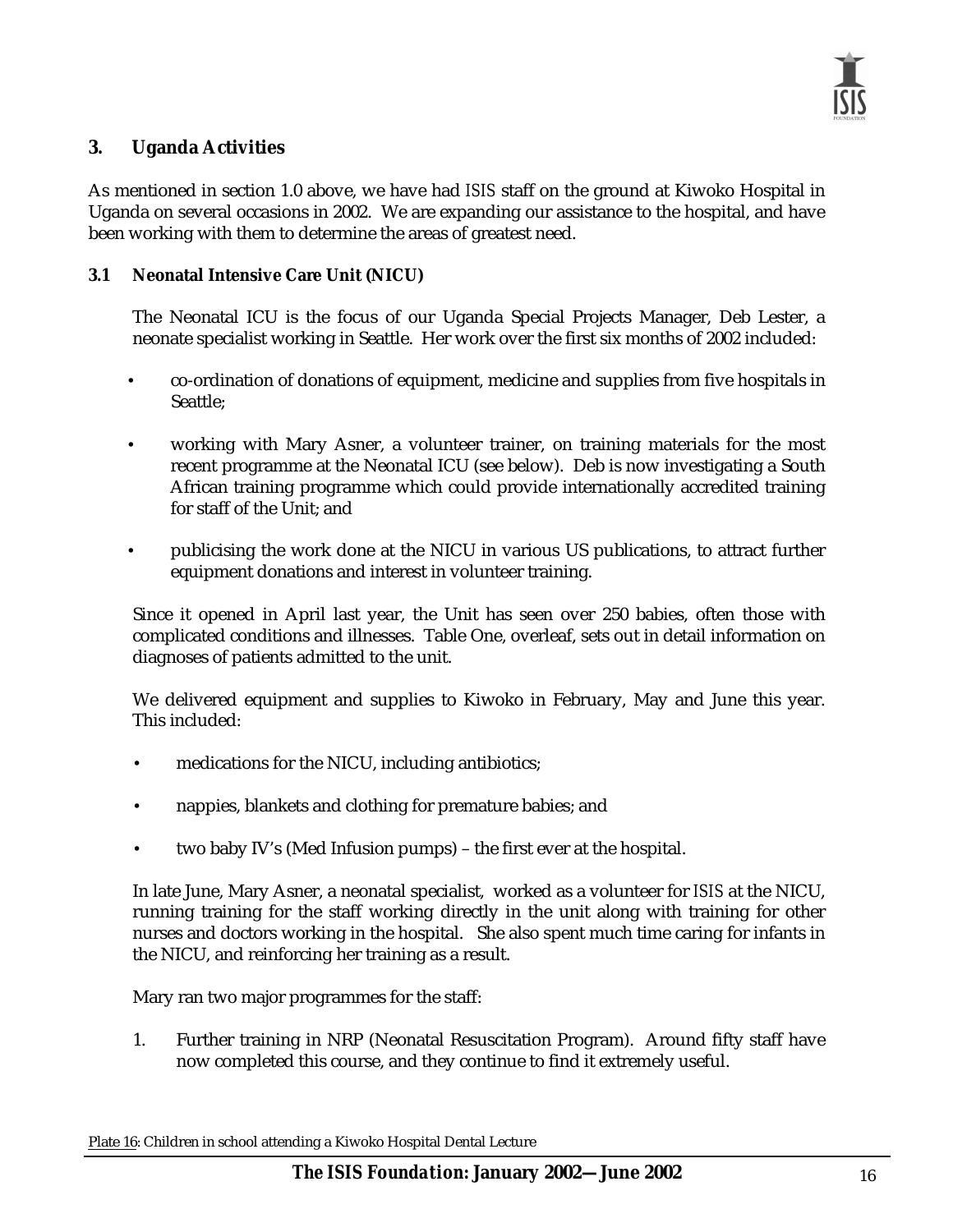#### **3. Uganda Activities**

As mentioned in section 1.0 above, we have had *ISIS* staff on the ground at Kiwoko Hospital in Uganda on several occasions in 2002. We are expanding our assistance to the hospital, and have been working with them to determine the areas of greatest need.

#### **3.1 Neonatal Intensive Care Unit (NICU)**

The Neonatal ICU is the focus of our Uganda Special Projects Manager, Deb Lester, a neonate specialist working in Seattle. Her work over the first six months of 2002 included:

- co-ordination of donations of equipment, medicine and supplies from five hospitals in Seattle;
- working with Mary Asner, a volunteer trainer, on training materials for the most recent programme at the Neonatal ICU (see below). Deb is now investigating a South African training programme which could provide internationally accredited training for staff of the Unit; and
- publicising the work done at the NICU in various US publications, to attract further equipment donations and interest in volunteer training.

Since it opened in April last year, the Unit has seen over 250 babies, often those with complicated conditions and illnesses. Table One, overleaf, sets out in detail information on diagnoses of patients admitted to the unit.

We delivered equipment and supplies to Kiwoko in February, May and June this year. This included:

- medications for the NICU, including antibiotics;
- nappies, blankets and clothing for premature babies; and
- two baby IV's (Med Infusion pumps) the first ever at the hospital.

In late June, Mary Asner, a neonatal specialist, worked as a volunteer for *ISIS* at the NICU, running training for the staff working directly in the unit along with training for other nurses and doctors working in the hospital. She also spent much time caring for infants in the NICU, and reinforcing her training as a result.

Mary ran two major programmes for the staff:

1. Further training in NRP (Neonatal Resuscitation Program). Around fifty staff have now completed this course, and they continue to find it extremely useful.

Plate 16: Children in school attending a Kiwoko Hospital Dental Lecture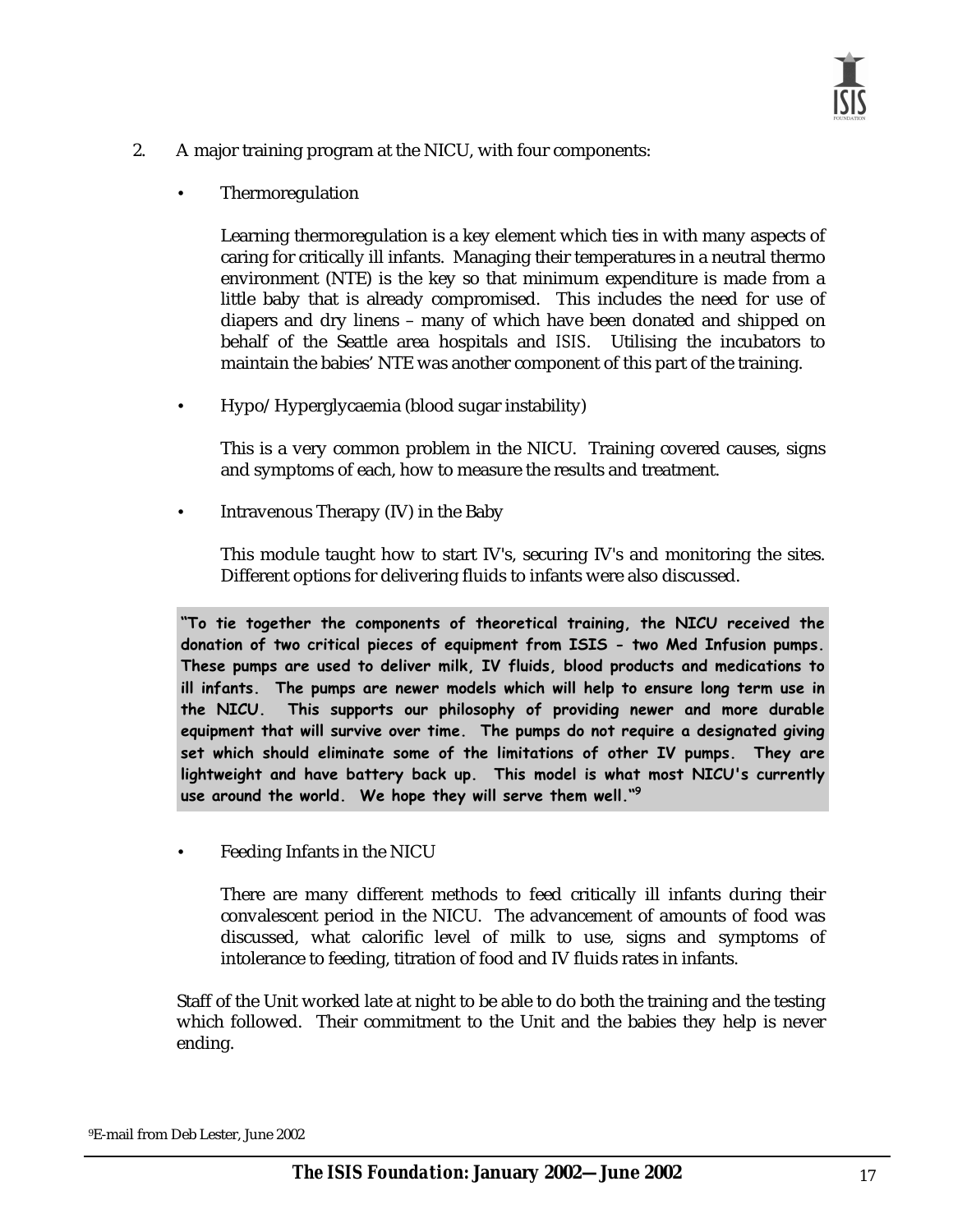- 2. A major training program at the NICU, with four components:
	- **Thermoregulation**

Learning thermoregulation is a key element which ties in with many aspects of caring for critically ill infants. Managing their temperatures in a neutral thermo environment (NTE) is the key so that minimum expenditure is made from a little baby that is already compromised. This includes the need for use of diapers and dry linens – many of which have been donated and shipped on behalf of the Seattle area hospitals and *ISIS*. Utilising the incubators to maintain the babies' NTE was another component of this part of the training.

• Hypo/Hyperglycaemia (blood sugar instability)

This is a very common problem in the NICU. Training covered causes, signs and symptoms of each, how to measure the results and treatment.

• Intravenous Therapy (IV) in the Baby

This module taught how to start IV's, securing IV's and monitoring the sites. Different options for delivering fluids to infants were also discussed.

 $\mathbf{r}$  tie together the components of theoretical training, the NICU received the  $\mathbf{r}$ donation of two critical pieces of equipment from ISIS - two Med Infusion pumps. These pumps are used to deliver milk, IV fluids, blood products and medications to ill infants. The pumps are newer models which will help to ensure long term use in the NICU. This supports our philosophy of providing newer and more durable equipment that will survive over time. The pumps do not require a designated giving set which should eliminate some of the limitations of other IV pumps. They are lightweight and have battery back up. This model is what most NICU's currently use around the world. We hope they will serve them well."<sup>9</sup>

• Feeding Infants in the NICU

There are many different methods to feed critically ill infants during their convalescent period in the NICU. The advancement of amounts of food was discussed, what calorific level of milk to use, signs and symptoms of intolerance to feeding, titration of food and IV fluids rates in infants.

Staff of the Unit worked late at night to be able to do both the training and the testing which followed. Their commitment to the Unit and the babies they help is never ending.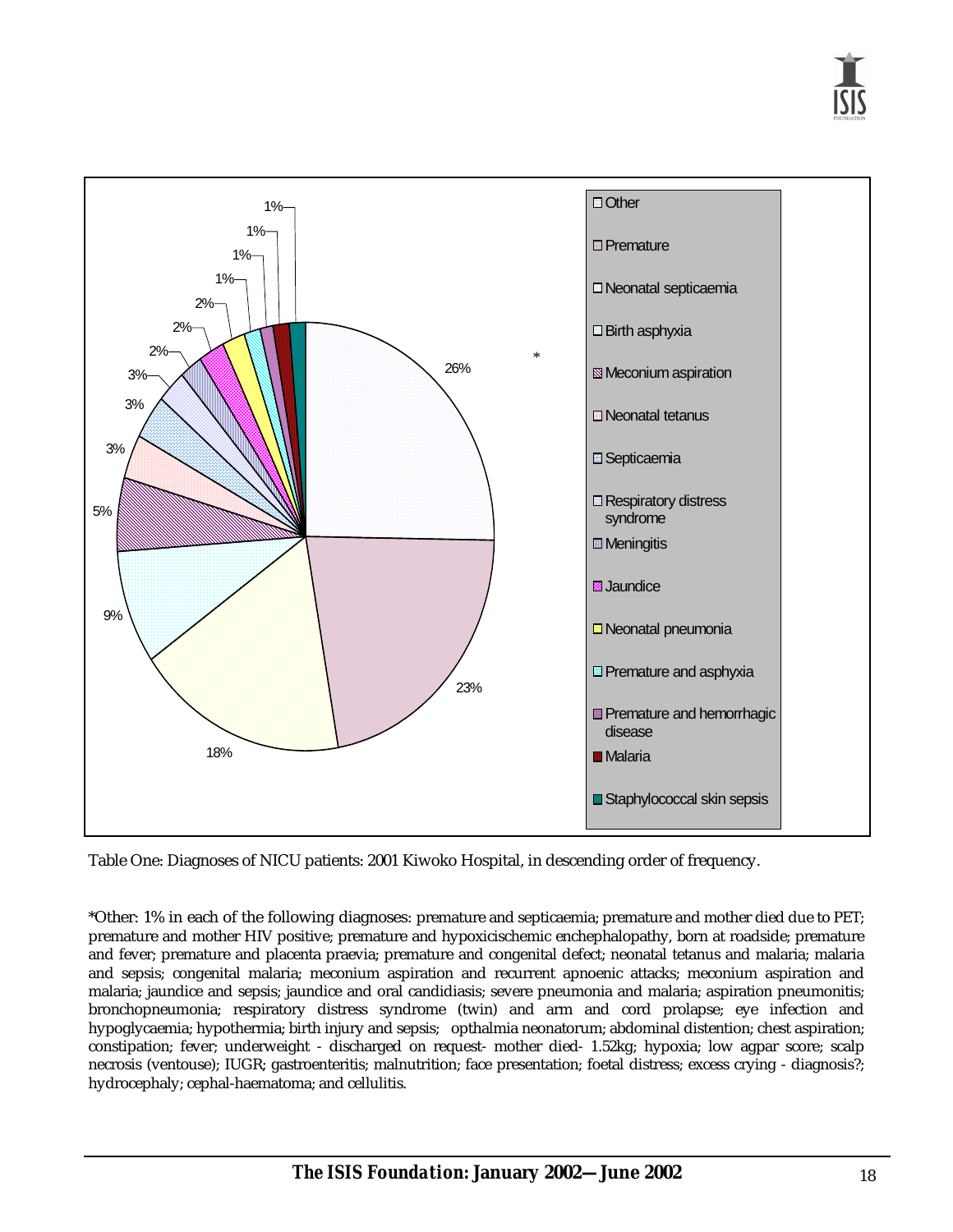

Table One: Diagnoses of NICU patients: 2001 Kiwoko Hospital, in descending order of frequency.

\*Other: 1% in each of the following diagnoses: premature and septicaemia; premature and mother died due to PET; premature and mother HIV positive; premature and hypoxicischemic enchephalopathy, born at roadside; premature and fever; premature and placenta praevia; premature and congenital defect; neonatal tetanus and malaria; malaria and sepsis; congenital malaria; meconium aspiration and recurrent apnoenic attacks; meconium aspiration and malaria; jaundice and sepsis; jaundice and oral candidiasis; severe pneumonia and malaria; aspiration pneumonitis; bronchopneumonia; respiratory distress syndrome (twin) and arm and cord prolapse; eye infection and hypoglycaemia; hypothermia; birth injury and sepsis; opthalmia neonatorum; abdominal distention; chest aspiration; constipation; fever; underweight - discharged on request- mother died- 1.52kg; hypoxia; low agpar score; scalp necrosis (ventouse); IUGR; gastroenteritis; malnutrition; face presentation; foetal distress; excess crying - diagnosis?; hydrocephaly; cephal-haematoma; and cellulitis.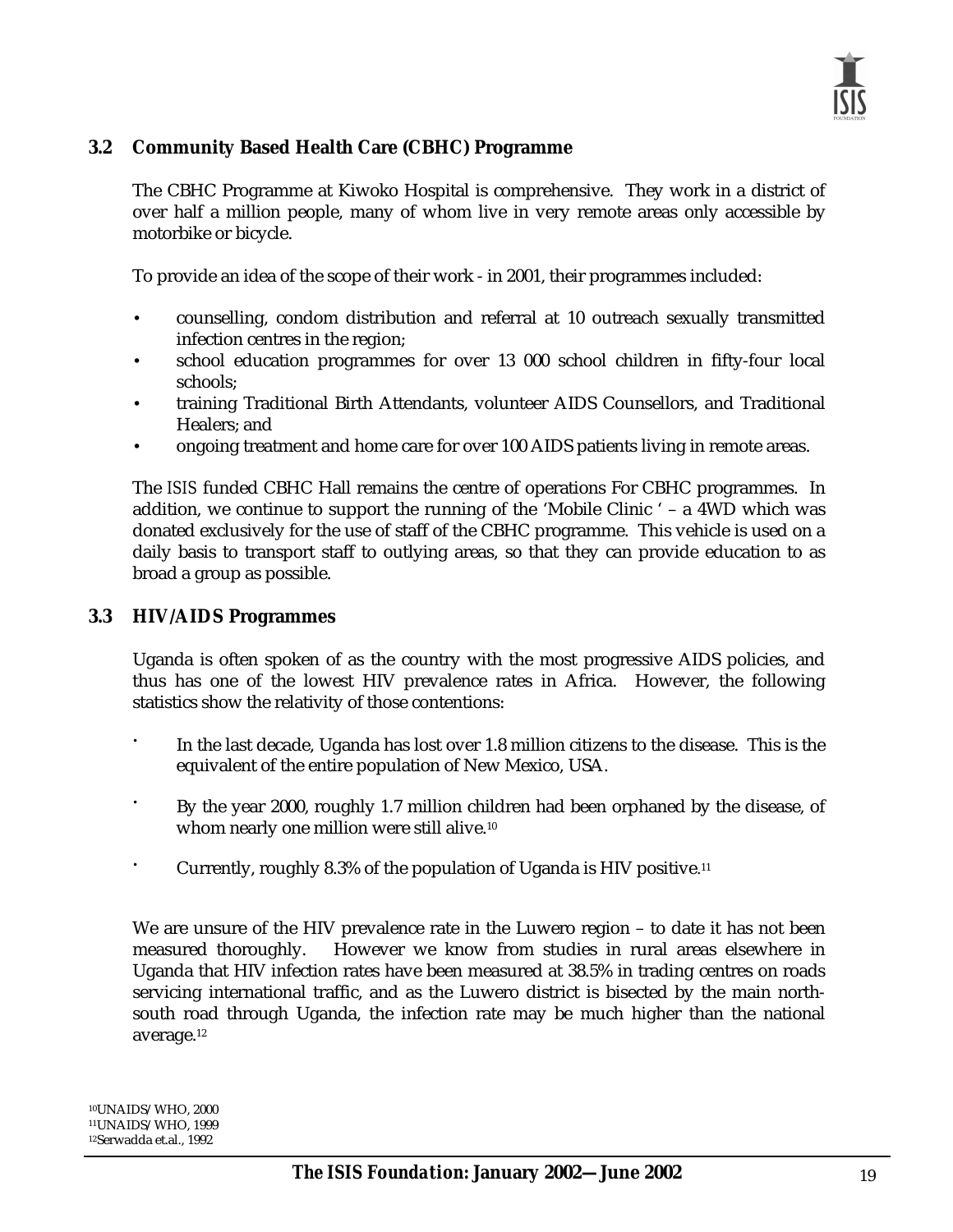

#### **3.2 Community Based Health Care (CBHC) Programme**

The CBHC Programme at Kiwoko Hospital is comprehensive. They work in a district of over half a million people, many of whom live in very remote areas only accessible by motorbike or bicycle.

To provide an idea of the scope of their work - in 2001, their programmes included:

- counselling, condom distribution and referral at 10 outreach sexually transmitted infection centres in the region;
- school education programmes for over 13 000 school children in fifty-four local schools;
- training Traditional Birth Attendants, volunteer AIDS Counsellors, and Traditional Healers; and
- ongoing treatment and home care for over 100 AIDS patients living in remote areas.

The *ISIS* funded CBHC Hall remains the centre of operations For CBHC programmes. In addition, we continue to support the running of the 'Mobile Clinic ' – a 4WD which was donated exclusively for the use of staff of the CBHC programme. This vehicle is used on a daily basis to transport staff to outlying areas, so that they can provide education to as broad a group as possible.

#### **3.3 HIV/AIDS Programmes**

Uganda is often spoken of as the country with the most progressive AIDS policies, and thus has one of the lowest HIV prevalence rates in Africa. However, the following statistics show the relativity of those contentions:

- In the last decade, Uganda has lost over 1.8 million citizens to the disease. This is the equivalent of the entire population of New Mexico, USA.
- By the year 2000, roughly 1.7 million children had been orphaned by the disease, of whom nearly one million were still alive.<sup>10</sup>
- Currently, roughly 8.3% of the population of Uganda is HIV positive.11

We are unsure of the HIV prevalence rate in the Luwero region – to date it has not been measured thoroughly. However we know from studies in rural areas elsewhere in Uganda that HIV infection rates have been measured at 38.5% in trading centres on roads servicing international traffic, and as the Luwero district is bisected by the main northsouth road through Uganda, the infection rate may be much higher than the national average.12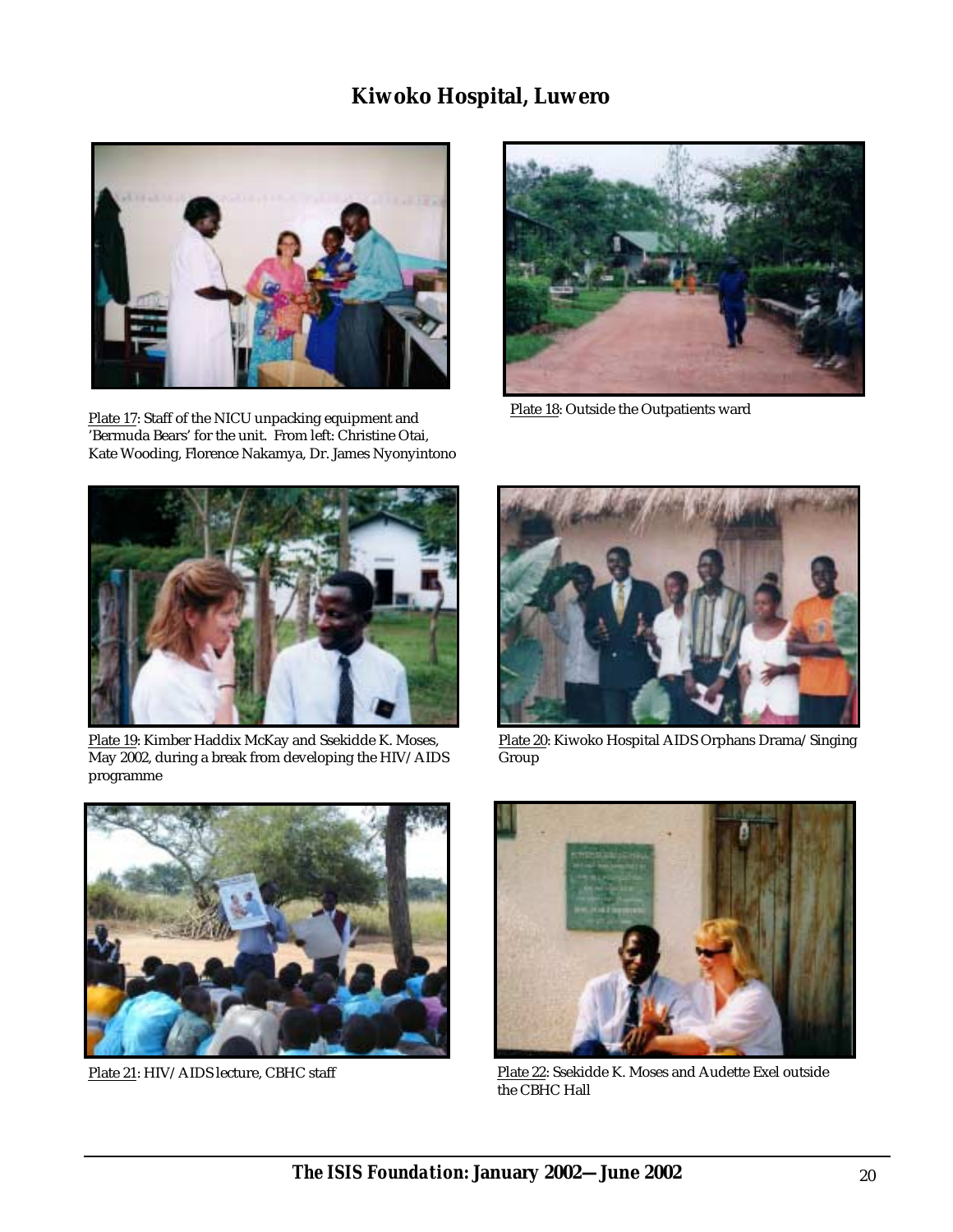### **Kiwoko Hospital, Luwero**



Plate 17: Staff of the NICU unpacking equipment and 'Bermuda Bears' for the unit. From left: Christine Otai, Kate Wooding, Florence Nakamya, Dr. James Nyonyintono



Plate 18: Outside the Outpatients ward



Plate 19: Kimber Haddix McKay and Ssekidde K. Moses, May 2002, during a break from developing the HIV/AIDS programme



Plate 20: Kiwoko Hospital AIDS Orphans Drama/Singing Group





Plate 21: HIV/AIDS lecture, CBHC staff Plate 22: Ssekidde K. Moses and Audette Exel outside the CBHC Hall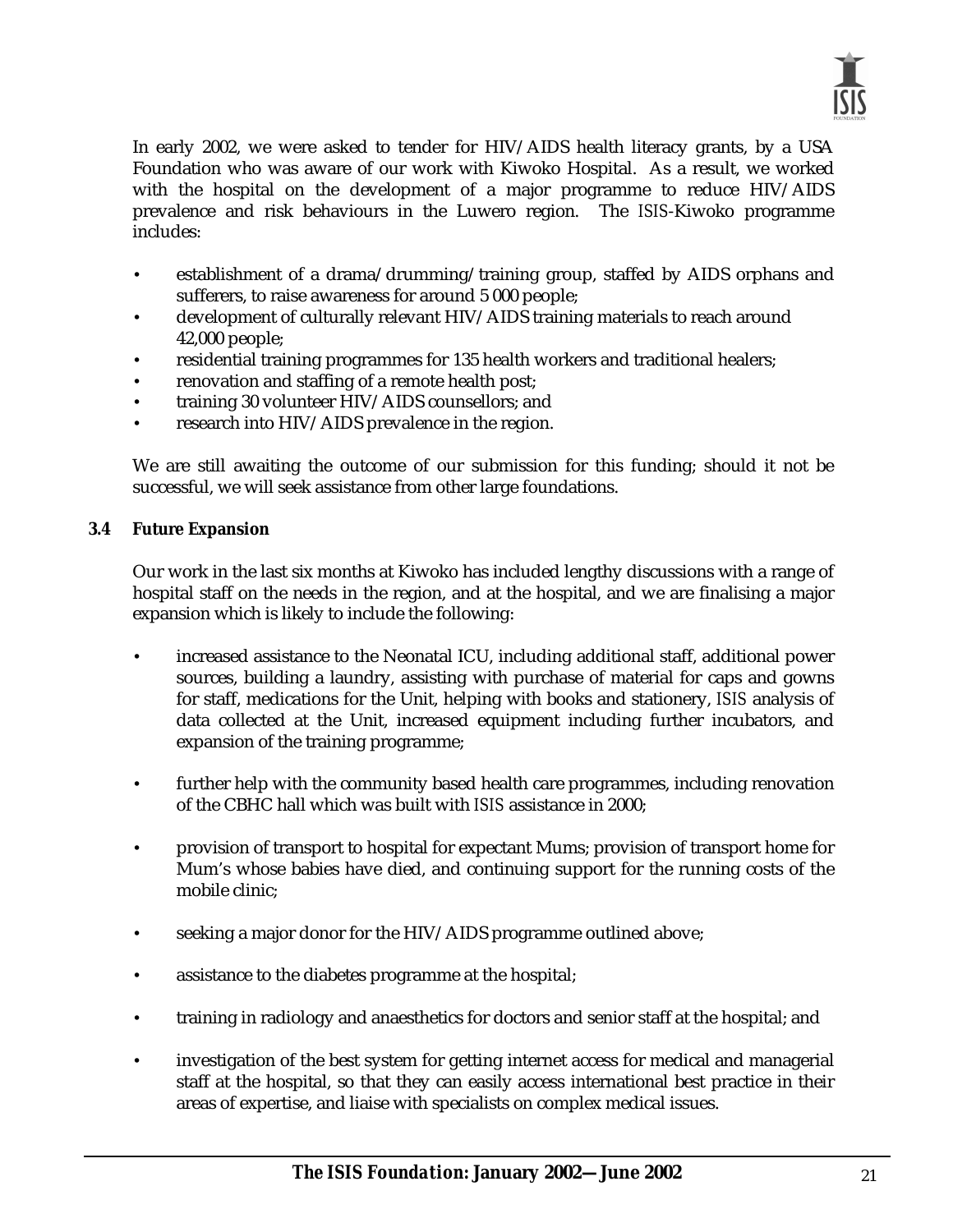

In early 2002, we were asked to tender for HIV/AIDS health literacy grants, by a USA Foundation who was aware of our work with Kiwoko Hospital. As a result, we worked with the hospital on the development of a major programme to reduce HIV/AIDS prevalence and risk behaviours in the Luwero region. The *ISIS*-Kiwoko programme includes:

- establishment of a drama/drumming/training group, staffed by AIDS orphans and sufferers, to raise awareness for around 5 000 people;
- development of culturally relevant HIV/AIDS training materials to reach around 42,000 people;
- residential training programmes for 135 health workers and traditional healers;
- renovation and staffing of a remote health post;
- training 30 volunteer HIV/AIDS counsellors; and
- research into HIV/AIDS prevalence in the region.

We are still awaiting the outcome of our submission for this funding; should it not be successful, we will seek assistance from other large foundations.

#### **3.4 Future Expansion**

Our work in the last six months at Kiwoko has included lengthy discussions with a range of hospital staff on the needs in the region, and at the hospital, and we are finalising a major expansion which is likely to include the following:

- increased assistance to the Neonatal ICU, including additional staff, additional power sources, building a laundry, assisting with purchase of material for caps and gowns for staff, medications for the Unit, helping with books and stationery, *ISIS* analysis of data collected at the Unit, increased equipment including further incubators, and expansion of the training programme;
- further help with the community based health care programmes, including renovation of the CBHC hall which was built with *ISIS* assistance in 2000;
- provision of transport to hospital for expectant Mums; provision of transport home for Mum's whose babies have died, and continuing support for the running costs of the mobile clinic;
- seeking a major donor for the HIV/AIDS programme outlined above;
- assistance to the diabetes programme at the hospital;
- training in radiology and anaesthetics for doctors and senior staff at the hospital; and
- investigation of the best system for getting internet access for medical and managerial staff at the hospital, so that they can easily access international best practice in their areas of expertise, and liaise with specialists on complex medical issues.